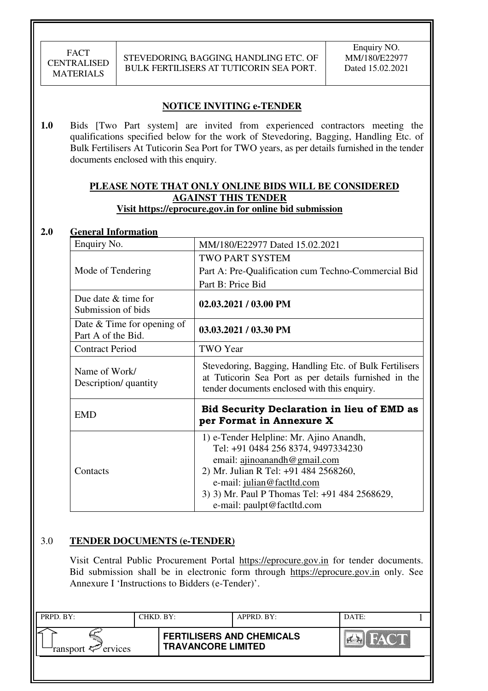### **NOTICE INVITING e-TENDER**

**1.0** Bids [Two Part system] are invited from experienced contractors meeting the qualifications specified below for the work of Stevedoring, Bagging, Handling Etc. of Bulk Fertilisers At Tuticorin Sea Port for TWO years, as per details furnished in the tender documents enclosed with this enquiry.

### **PLEASE NOTE THAT ONLY ONLINE BIDS WILL BE CONSIDERED AGAINST THIS TENDER Visit https://eprocure.gov.in for online bid submission**

#### **2.0 General Information**

| Enquiry No.                                        | MM/180/E22977 Dated 15.02.2021                                                                                                                                                                                                                                      |
|----------------------------------------------------|---------------------------------------------------------------------------------------------------------------------------------------------------------------------------------------------------------------------------------------------------------------------|
|                                                    | <b>TWO PART SYSTEM</b>                                                                                                                                                                                                                                              |
| Mode of Tendering                                  | Part A: Pre-Qualification cum Techno-Commercial Bid                                                                                                                                                                                                                 |
|                                                    | Part B: Price Bid                                                                                                                                                                                                                                                   |
| Due date & time for<br>Submission of bids          | $02.03.2021 / 03.00$ PM                                                                                                                                                                                                                                             |
| Date $&$ Time for opening of<br>Part A of the Bid. | 03.03.2021 / 03.30 PM                                                                                                                                                                                                                                               |
| <b>Contract Period</b>                             | TWO Year                                                                                                                                                                                                                                                            |
| Name of Work/<br>Description/ quantity             | Stevedoring, Bagging, Handling Etc. of Bulk Fertilisers<br>at Tuticorin Sea Port as per details furnished in the<br>tender documents enclosed with this enquiry.                                                                                                    |
| <b>EMD</b>                                         | Bid Security Declaration in lieu of EMD as<br>per Format in Annexure X                                                                                                                                                                                              |
| Contacts                                           | 1) e-Tender Helpline: Mr. Ajino Anandh,<br>Tel: +91 0484 256 8374, 9497334230<br>email: ajinoanandh@gmail.com<br>2) Mr. Julian R Tel: +91 484 2568260,<br>e-mail: julian@factltd.com<br>3) 3) Mr. Paul P Thomas Tel: +91 484 2568629,<br>e-mail: paulpt@factltd.com |

#### 3.0 **TENDER DOCUMENTS (e-TENDER)**

Visit Central Public Procurement Portal https://eprocure.gov.in for tender documents. Bid submission shall be in electronic form through https://eprocure.gov.in only. See Annexure I 'Instructions to Bidders (e-Tender)'.

| PRPD. BY:              | CHKD. BY:                 | APPRD. BY:                       | DATE: |  |
|------------------------|---------------------------|----------------------------------|-------|--|
| ransport $\ll$ ervices | <b>TRAVANCORE LIMITED</b> | <b>FERTILISERS AND CHEMICALS</b> | HAYOT |  |
|                        |                           |                                  |       |  |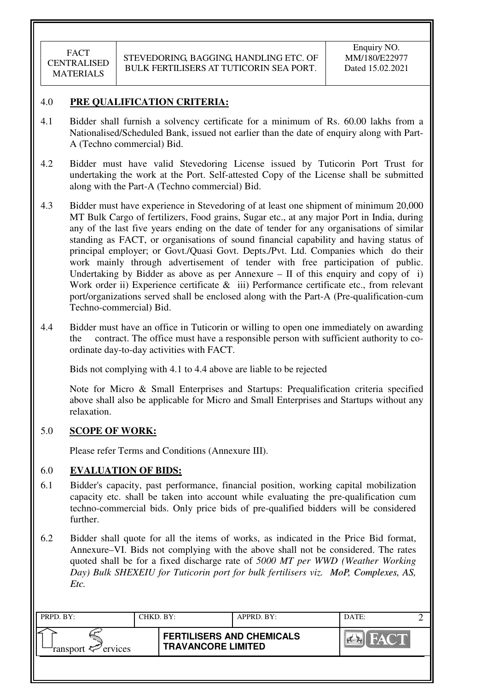### 4.0 **PRE QUALIFICATION CRITERIA:**

- 4.1 Bidder shall furnish a solvency certificate for a minimum of Rs. 60.00 lakhs from a Nationalised/Scheduled Bank, issued not earlier than the date of enquiry along with Part-A (Techno commercial) Bid.
- 4.2 Bidder must have valid Stevedoring License issued by Tuticorin Port Trust for undertaking the work at the Port. Self-attested Copy of the License shall be submitted along with the Part-A (Techno commercial) Bid.
- 4.3 Bidder must have experience in Stevedoring of at least one shipment of minimum 20,000 MT Bulk Cargo of fertilizers, Food grains, Sugar etc., at any major Port in India, during any of the last five years ending on the date of tender for any organisations of similar standing as FACT, or organisations of sound financial capability and having status of principal employer; or Govt./Quasi Govt. Depts./Pvt. Ltd. Companies which do their work mainly through advertisement of tender with free participation of public. Undertaking by Bidder as above as per Annexure  $-$  II of this enquiry and copy of i) Work order ii) Experience certificate & iii) Performance certificate etc., from relevant port/organizations served shall be enclosed along with the Part-A (Pre-qualification-cum Techno-commercial) Bid.
- 4.4 Bidder must have an office in Tuticorin or willing to open one immediately on awarding the contract. The office must have a responsible person with sufficient authority to coordinate day-to-day activities with FACT.

Bids not complying with 4.1 to 4.4 above are liable to be rejected

Note for Micro & Small Enterprises and Startups: Prequalification criteria specified above shall also be applicable for Micro and Small Enterprises and Startups without any relaxation.

### 5.0 **SCOPE OF WORK:**

Please refer Terms and Conditions (Annexure III).

### 6.0 **EVALUATION OF BIDS:**

- 6.1 Bidder's capacity, past performance, financial position, working capital mobilization capacity etc. shall be taken into account while evaluating the pre-qualification cum techno-commercial bids. Only price bids of pre-qualified bidders will be considered further.
- 6.2 Bidder shall quote for all the items of works, as indicated in the Price Bid format, Annexure–VI. Bids not complying with the above shall not be considered. The rates quoted shall be for a fixed discharge rate of *5000 MT per WWD (Weather Working Day) Bulk SHEXEIU for Tuticorin port for bulk fertilisers viz. MoP, Complexes, AS, Etc.*

| PRPD. BY:              | CHKD. BY: |                                                               | APPRD. BY: | DATE:            |  |
|------------------------|-----------|---------------------------------------------------------------|------------|------------------|--|
| ransport $\ll$ ervices |           | <b>FERTILISERS AND CHEMICALS</b><br><b>TRAVANCORE LIMITED</b> |            | <b>THEY CALL</b> |  |
|                        |           |                                                               |            |                  |  |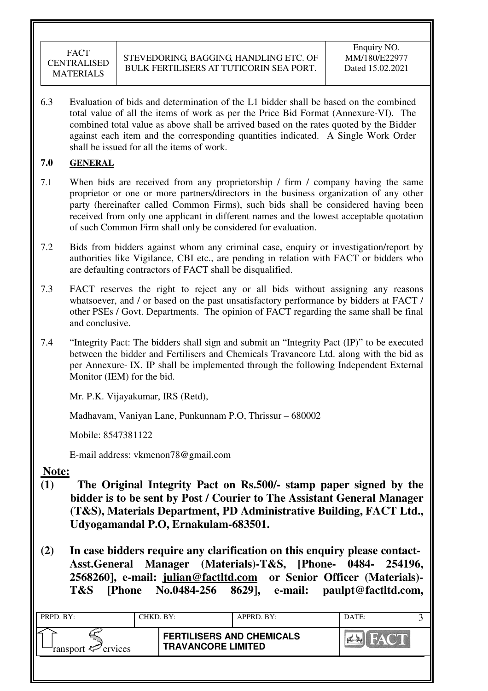6.3 Evaluation of bids and determination of the L1 bidder shall be based on the combined total value of all the items of work as per the Price Bid Format (Annexure-VI). The combined total value as above shall be arrived based on the rates quoted by the Bidder against each item and the corresponding quantities indicated. A Single Work Order shall be issued for all the items of work.

# **7.0 GENERAL**

- 7.1 When bids are received from any proprietorship / firm / company having the same proprietor or one or more partners/directors in the business organization of any other party (hereinafter called Common Firms), such bids shall be considered having been received from only one applicant in different names and the lowest acceptable quotation of such Common Firm shall only be considered for evaluation.
- 7.2 Bids from bidders against whom any criminal case, enquiry or investigation/report by authorities like Vigilance, CBI etc., are pending in relation with FACT or bidders who are defaulting contractors of FACT shall be disqualified.
- 7.3 FACT reserves the right to reject any or all bids without assigning any reasons whatsoever, and / or based on the past unsatisfactory performance by bidders at FACT / other PSEs / Govt. Departments. The opinion of FACT regarding the same shall be final and conclusive.
- 7.4 "Integrity Pact: The bidders shall sign and submit an "Integrity Pact (IP)" to be executed between the bidder and Fertilisers and Chemicals Travancore Ltd. along with the bid as per Annexure- IX. IP shall be implemented through the following Independent External Monitor (IEM) for the bid.

Mr. P.K. Vijayakumar, IRS (Retd),

Madhavam, Vaniyan Lane, Punkunnam P.O, Thrissur – 680002

Mobile: 8547381122

E-mail address: vkmenon78@gmail.com

# **Note:**

- **(1) The Original Integrity Pact on Rs.500/- stamp paper signed by the bidder is to be sent by Post / Courier to The Assistant General Manager (T&S), Materials Department, PD Administrative Building, FACT Ltd., Udyogamandal P.O, Ernakulam-683501.**
- **(2) In case bidders require any clarification on this enquiry please contact-Asst.General Manager (Materials)-T&S, [Phone- 0484- 254196, 2568260], e-mail: julian@factltd.com or Senior Officer (Materials)- T&S [Phone No.0484-256 8629], e-mail: paulpt@factltd.com,**

| PRPD. BY:              | CHKD. BY: |                                                               | APPRD. BY: | DATE: |  |
|------------------------|-----------|---------------------------------------------------------------|------------|-------|--|
| ransport $\ll$ ervices |           | <b>FERTILISERS AND CHEMICALS</b><br><b>TRAVANCORE LIMITED</b> |            | HAY N |  |
|                        |           |                                                               |            |       |  |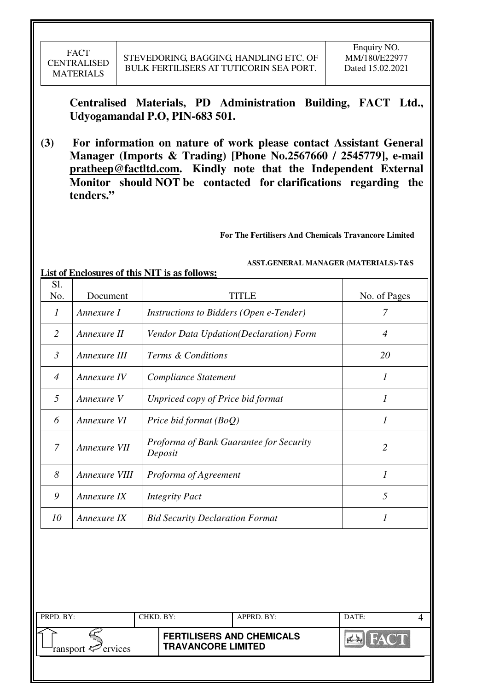**Centralised Materials, PD Administration Building, FACT Ltd., Udyogamandal P.O, PIN-683 501.** 

**(3) For information on nature of work please contact Assistant General Manager (Imports & Trading) [Phone No.2567660 / 2545779], e-mail pratheep@factltd.com. Kindly note that the Independent External Monitor should NOT be contacted for clarifications regarding the tenders."**

**For The Fertilisers And Chemicals Travancore Limited** 

 **ASST.GENERAL MANAGER (MATERIALS)-T&S** 

**List of Enclosures of this NIT is as follows:** 

| Sl.<br>No.       | Document      | <b>TITLE</b>                                       | No. of Pages                |
|------------------|---------------|----------------------------------------------------|-----------------------------|
| $\boldsymbol{l}$ | Annexure I    | Instructions to Bidders (Open e-Tender)            | 7                           |
| $\overline{2}$   | Annexure II   | Vendor Data Updation(Declaration) Form             | $\overline{4}$              |
| $\mathfrak{Z}$   | Annexure III  | Terms & Conditions                                 | 20                          |
| $\overline{4}$   | Annexure IV   | Compliance Statement                               | $\mathcal{I}_{\mathcal{I}}$ |
| 5                | Annexure V    | Unpriced copy of Price bid format                  | 1                           |
| 6                | Annexure VI   | Price bid format $(BoQ)$                           | $\mathcal{I}_{\mathcal{I}}$ |
| $\overline{7}$   | Annexure VII  | Proforma of Bank Guarantee for Security<br>Deposit | $\overline{2}$              |
| 8                | Annexure VIII | Proforma of Agreement                              | $\mathcal{I}$               |
| 9                | Annexure IX   | <b>Integrity Pact</b>                              | 5                           |
| 10               | Annexure IX   | <b>Bid Security Declaration Format</b>             | 1                           |
|                  |               |                                                    |                             |

| PRPD. BY:              | CHKD. BY: |                                                               | APPRD. BY: | DATE: |  |
|------------------------|-----------|---------------------------------------------------------------|------------|-------|--|
| ransport $\ll$ ervices |           | <b>FERTILISERS AND CHEMICALS</b><br><b>TRAVANCORE LIMITED</b> |            |       |  |
|                        |           |                                                               |            |       |  |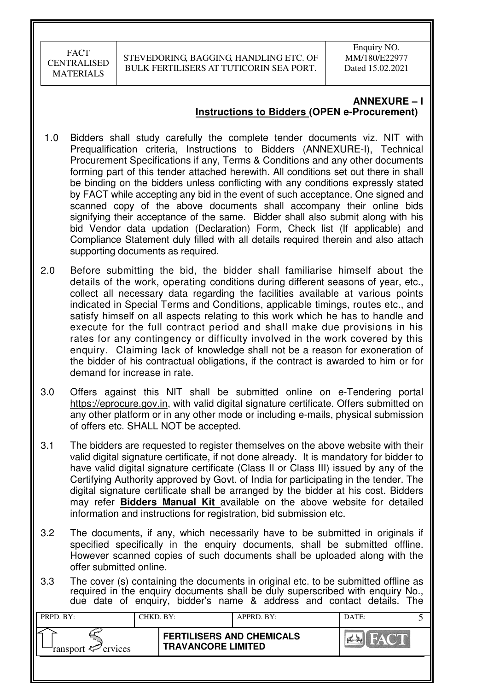Enquiry NO. MM/180/E22977 Dated 15.02.2021

# **ANNEXURE – I Instructions to Bidders (OPEN e-Procurement)**

- 1.0 Bidders shall study carefully the complete tender documents viz. NIT with Prequalification criteria, Instructions to Bidders (ANNEXURE-I), Technical Procurement Specifications if any, Terms & Conditions and any other documents forming part of this tender attached herewith. All conditions set out there in shall be binding on the bidders unless conflicting with any conditions expressly stated by FACT while accepting any bid in the event of such acceptance. One signed and scanned copy of the above documents shall accompany their online bids signifying their acceptance of the same. Bidder shall also submit along with his bid Vendor data updation (Declaration) Form, Check list (If applicable) and Compliance Statement duly filled with all details required therein and also attach supporting documents as required.
- 2.0 Before submitting the bid, the bidder shall familiarise himself about the details of the work, operating conditions during different seasons of year, etc., collect all necessary data regarding the facilities available at various points indicated in Special Terms and Conditions, applicable timings, routes etc., and satisfy himself on all aspects relating to this work which he has to handle and execute for the full contract period and shall make due provisions in his rates for any contingency or difficulty involved in the work covered by this enquiry. Claiming lack of knowledge shall not be a reason for exoneration of the bidder of his contractual obligations, if the contract is awarded to him or for demand for increase in rate.
- 3.0 Offers against this NIT shall be submitted online on e-Tendering portal https://eprocure.gov.in, with valid digital signature certificate. Offers submitted on any other platform or in any other mode or including e-mails, physical submission of offers etc. SHALL NOT be accepted.
- 3.1 The bidders are requested to register themselves on the above website with their valid digital signature certificate, if not done already. It is mandatory for bidder to have valid digital signature certificate (Class II or Class III) issued by any of the Certifying Authority approved by Govt. of India for participating in the tender. The digital signature certificate shall be arranged by the bidder at his cost. Bidders may refer **Bidders Manual Kit** available on the above website for detailed information and instructions for registration, bid submission etc.
- 3.2 The documents, if any, which necessarily have to be submitted in originals if specified specifically in the enquiry documents, shall be submitted offline. However scanned copies of such documents shall be uploaded along with the offer submitted online.
- 3.3 The cover (s) containing the documents in original etc. to be submitted offline as required in the enquiry documents shall be duly superscribed with enquiry No., due date of enquiry, bidder's name & address and contact details. The

| PRPD. BY:              | CHKD. BY: |                                                               | APPRD. BY: | DATE:  |  |
|------------------------|-----------|---------------------------------------------------------------|------------|--------|--|
| ransport $\ll$ ervices |           | <b>FERTILISERS AND CHEMICALS</b><br><b>TRAVANCORE LIMITED</b> |            | HAY ME |  |
|                        |           |                                                               |            |        |  |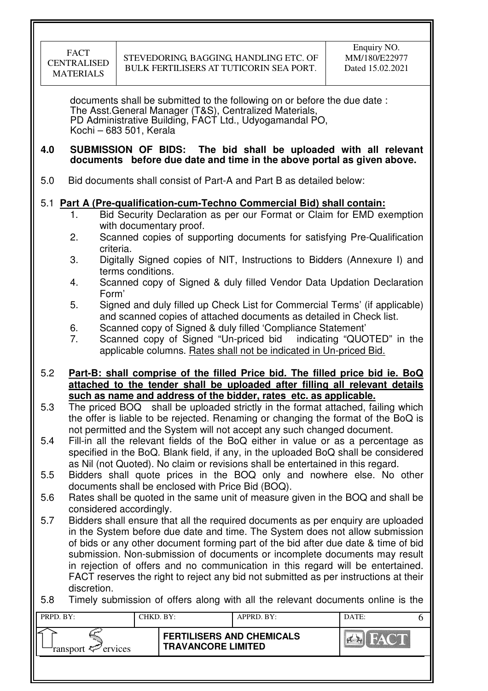| <b>FACT</b>      |
|------------------|
| CENTRALISED      |
| <b>MATERIALS</b> |

documents shall be submitted to the following on or before the due date : The Asst.General Manager (T&S), Centralized Materials, PD Administrative Building, FACT Ltd., Udyogamandal PO, Kochi – 683 501, Kerala

#### **4.0 SUBMISSION OF BIDS: The bid shall be uploaded with all relevant documents before due date and time in the above portal as given above.**

5.0 Bid documents shall consist of Part-A and Part B as detailed below:

# 5.1 **Part A (Pre-qualification-cum-Techno Commercial Bid) shall contain:**

- 1. Bid Security Declaration as per our Format or Claim for EMD exemption with documentary proof.
- 2. Scanned copies of supporting documents for satisfying Pre-Qualification criteria.
- 3. Digitally Signed copies of NIT, Instructions to Bidders (Annexure I) and terms conditions.
- 4. Scanned copy of Signed & duly filled Vendor Data Updation Declaration Form'
- 5. Signed and duly filled up Check List for Commercial Terms' (if applicable) and scanned copies of attached documents as detailed in Check list.
- 6. Scanned copy of Signed & duly filled 'Compliance Statement'
- 7. Scanned copy of Signed "Un-priced bid indicating "QUOTED" in the applicable columns. Rates shall not be indicated in Un-priced Bid.

### 5.2 **Part-B: shall comprise of the filled Price bid. The filled price bid ie. BoQ attached to the tender shall be uploaded after filling all relevant details such as name and address of the bidder, rates etc. as applicable.**

- 5.3 The priced BOQ shall be uploaded strictly in the format attached, failing which the offer is liable to be rejected. Renaming or changing the format of the BoQ is not permitted and the System will not accept any such changed document.
- 5.4 Fill-in all the relevant fields of the BoQ either in value or as a percentage as specified in the BoQ. Blank field, if any, in the uploaded BoQ shall be considered as Nil (not Quoted). No claim or revisions shall be entertained in this regard.
- 5.5 Bidders shall quote prices in the BOQ only and nowhere else. No other documents shall be enclosed with Price Bid (BOQ).
- 5.6 Rates shall be quoted in the same unit of measure given in the BOQ and shall be considered accordingly.
- 5.7 Bidders shall ensure that all the required documents as per enquiry are uploaded in the System before due date and time. The System does not allow submission of bids or any other document forming part of the bid after due date & time of bid submission. Non-submission of documents or incomplete documents may result in rejection of offers and no communication in this regard will be entertained. FACT reserves the right to reject any bid not submitted as per instructions at their discretion.
- 5.8 Timely submission of offers along with all the relevant documents online is the

| PRPD. BY:              | CHKD. BY: |                                                               | APPRD. BY: | DATE: |  |
|------------------------|-----------|---------------------------------------------------------------|------------|-------|--|
| ransport $\ll$ ervices |           | <b>FERTILISERS AND CHEMICALS</b><br><b>TRAVANCORE LIMITED</b> |            | FACT  |  |
|                        |           |                                                               |            |       |  |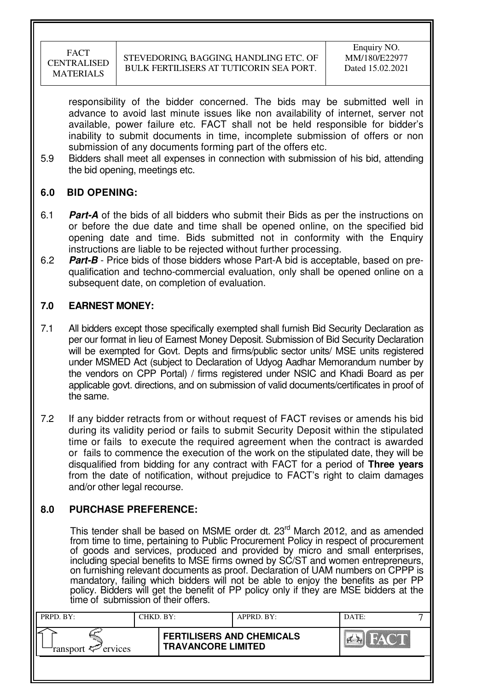responsibility of the bidder concerned. The bids may be submitted well in advance to avoid last minute issues like non availability of internet, server not available, power failure etc. FACT shall not be held responsible for bidder's inability to submit documents in time, incomplete submission of offers or non submission of any documents forming part of the offers etc.

5.9 Bidders shall meet all expenses in connection with submission of his bid, attending the bid opening, meetings etc.

# **6.0 BID OPENING:**

- 6.1 **Part-A** of the bids of all bidders who submit their Bids as per the instructions on or before the due date and time shall be opened online, on the specified bid opening date and time. Bids submitted not in conformity with the Enquiry instructions are liable to be rejected without further processing.
- 6.2 **Part-B** Price bids of those bidders whose Part-A bid is acceptable, based on prequalification and techno-commercial evaluation, only shall be opened online on a subsequent date, on completion of evaluation.

# **7.0 EARNEST MONEY:**

- 7.1 All bidders except those specifically exempted shall furnish Bid Security Declaration as per our format in lieu of Earnest Money Deposit. Submission of Bid Security Declaration will be exempted for Govt. Depts and firms/public sector units/ MSE units registered under MSMED Act (subject to Declaration of Udyog Aadhar Memorandum number by the vendors on CPP Portal) / firms registered under NSIC and Khadi Board as per applicable govt. directions, and on submission of valid documents/certificates in proof of the same.
- 7.2 If any bidder retracts from or without request of FACT revises or amends his bid during its validity period or fails to submit Security Deposit within the stipulated time or fails to execute the required agreement when the contract is awarded or fails to commence the execution of the work on the stipulated date, they will be disqualified from bidding for any contract with FACT for a period of **Three years** from the date of notification, without prejudice to FACT's right to claim damages and/or other legal recourse.

# **8.0 PURCHASE PREFERENCE:**

This tender shall be based on MSME order dt. 23<sup>rd</sup> March 2012, and as amended from time to time, pertaining to Public Procurement Policy in respect of procurement of goods and services, produced and provided by micro and small enterprises, including special benefits to MSE firms owned by SC/ST and women entrepreneurs, on furnishing relevant documents as proof. Declaration of UAM numbers on CPPP is mandatory, failing which bidders will not be able to enjoy the benefits as per PP policy. Bidders will get the benefit of PP policy only if they are MSE bidders at the time of submission of their offers.

| PRPD. BY:              | CHKD. BY: |                                                               | APPRD. BY: | DATE: |  |
|------------------------|-----------|---------------------------------------------------------------|------------|-------|--|
| ransport $\ll$ ervices |           | <b>FERTILISERS AND CHEMICALS</b><br><b>TRAVANCORE LIMITED</b> |            |       |  |
|                        |           |                                                               |            |       |  |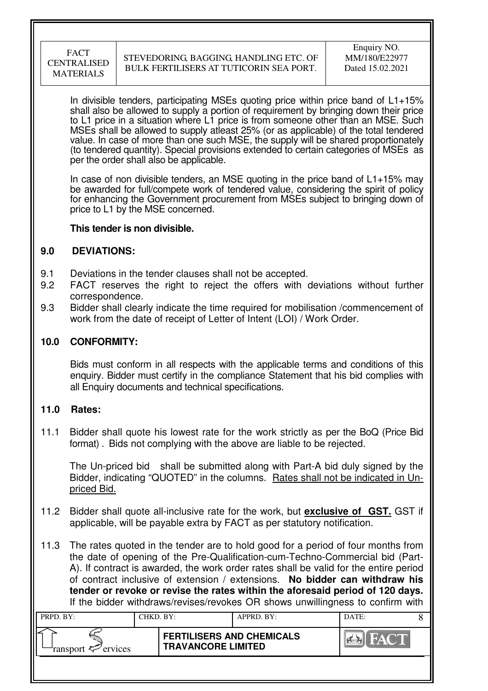In divisible tenders, participating MSEs quoting price within price band of  $L1+15%$ shall also be allowed to supply a portion of requirement by bringing down their price to L1 price in a situation where L1 price is from someone other than an MSE. Such MSEs shall be allowed to supply atleast 25% (or as applicable) of the total tendered value. In case of more than one such MSE, the supply will be shared proportionately (to tendered quantity). Special provisions extended to certain categories of MSEs as per the order shall also be applicable.

In case of non divisible tenders, an MSE quoting in the price band of L1+15% may be awarded for full/compete work of tendered value, considering the spirit of policy for enhancing the Government procurement from MSEs subject to bringing down of price to L1 by the MSE concerned.

### **This tender is non divisible.**

### **9.0 DEVIATIONS:**

- 9.1 Deviations in the tender clauses shall not be accepted.
- 9.2 FACT reserves the right to reject the offers with deviations without further correspondence.
- 9.3 Bidder shall clearly indicate the time required for mobilisation /commencement of work from the date of receipt of Letter of Intent (LOI) / Work Order.

### **10.0 CONFORMITY:**

Bids must conform in all respects with the applicable terms and conditions of this enquiry. Bidder must certify in the compliance Statement that his bid complies with all Enquiry documents and technical specifications.

### **11.0 Rates:**

11.1 Bidder shall quote his lowest rate for the work strictly as per the BoQ (Price Bid format) . Bids not complying with the above are liable to be rejected.

The Un-priced bid shall be submitted along with Part-A bid duly signed by the Bidder, indicating "QUOTED" in the columns. Rates shall not be indicated in Unpriced Bid.

- 11.2 Bidder shall quote all-inclusive rate for the work, but **exclusive of GST.** GST if applicable, will be payable extra by FACT as per statutory notification.
- 11.3 The rates quoted in the tender are to hold good for a period of four months from the date of opening of the Pre-Qualification-cum-Techno-Commercial bid (Part-A). If contract is awarded, the work order rates shall be valid for the entire period of contract inclusive of extension / extensions. **No bidder can withdraw his tender or revoke or revise the rates within the aforesaid period of 120 days.** If the bidder withdraws/revises/revokes OR shows unwillingness to confirm with

| PRPD. BY:              | CHKD. BY: |                                                               | APPRD. BY: | DATE:       |  |
|------------------------|-----------|---------------------------------------------------------------|------------|-------------|--|
| ransport $\ll$ ervices |           | <b>FERTILISERS AND CHEMICALS</b><br><b>TRAVANCORE LIMITED</b> |            | <b>FACT</b> |  |
|                        |           |                                                               |            |             |  |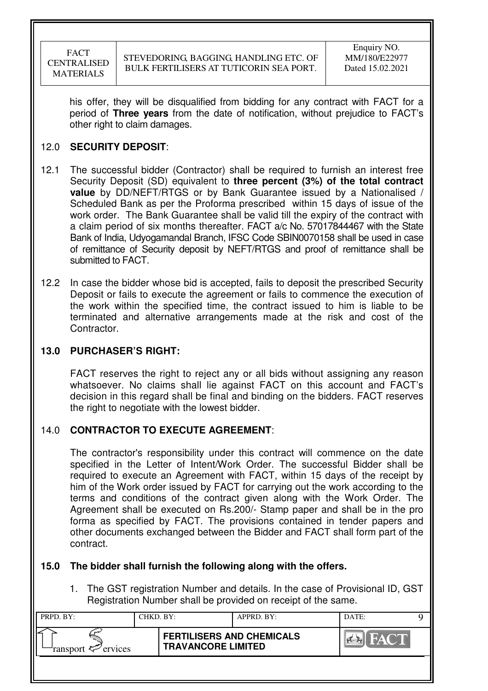his offer, they will be disqualified from bidding for any contract with FACT for a period of **Three years** from the date of notification, without prejudice to FACT's other right to claim damages.

# 12.0 **SECURITY DEPOSIT**:

- 12.1 The successful bidder (Contractor) shall be required to furnish an interest free Security Deposit (SD) equivalent to **three percent (3%) of the total contract value** by DD/NEFT/RTGS or by Bank Guarantee issued by a Nationalised / Scheduled Bank as per the Proforma prescribed within 15 days of issue of the work order. The Bank Guarantee shall be valid till the expiry of the contract with a claim period of six months thereafter. FACT a/c No. 57017844467 with the State Bank of India, Udyogamandal Branch, IFSC Code SBIN0070158 shall be used in case of remittance of Security deposit by NEFT/RTGS and proof of remittance shall be submitted to FACT.
- 12.2 In case the bidder whose bid is accepted, fails to deposit the prescribed Security Deposit or fails to execute the agreement or fails to commence the execution of the work within the specified time, the contract issued to him is liable to be terminated and alternative arrangements made at the risk and cost of the Contractor.

# **13.0 PURCHASER'S RIGHT:**

 FACT reserves the right to reject any or all bids without assigning any reason whatsoever. No claims shall lie against FACT on this account and FACT's decision in this regard shall be final and binding on the bidders. FACT reserves the right to negotiate with the lowest bidder.

# 14.0 **CONTRACTOR TO EXECUTE AGREEMENT**:

 The contractor's responsibility under this contract will commence on the date specified in the Letter of Intent/Work Order. The successful Bidder shall be required to execute an Agreement with FACT, within 15 days of the receipt by him of the Work order issued by FACT for carrying out the work according to the terms and conditions of the contract given along with the Work Order. The Agreement shall be executed on Rs.200/- Stamp paper and shall be in the pro forma as specified by FACT. The provisions contained in tender papers and other documents exchanged between the Bidder and FACT shall form part of the contract.

# **15.0 The bidder shall furnish the following along with the offers.**

1. The GST registration Number and details. In the case of Provisional ID, GST Registration Number shall be provided on receipt of the same.

| PRPD. BY:                  | CHKD. BY: |                                                               | APPRD. BY: | DATE: |  |
|----------------------------|-----------|---------------------------------------------------------------|------------|-------|--|
| ransport $\approx$ ervices |           | <b>FERTILISERS AND CHEMICALS</b><br><b>TRAVANCORE LIMITED</b> |            | HACT. |  |
|                            |           |                                                               |            |       |  |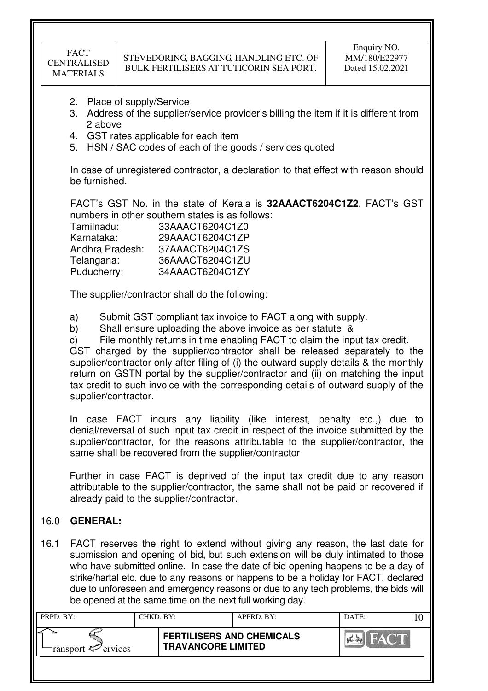- 2. Place of supply/Service
- 3. Address of the supplier/service provider's billing the item if it is different from 2 above
- 4. GST rates applicable for each item
- 5. HSN / SAC codes of each of the goods / services quoted

In case of unregistered contractor, a declaration to that effect with reason should be furnished.

FACT's GST No. in the state of Kerala is **32AAACT6204C1Z2**. FACT's GST numbers in other southern states is as follows:

| Tamilnadu:      | 33AAACT6204C1Z0 |
|-----------------|-----------------|
| Karnataka:      | 29AAACT6204C1ZP |
| Andhra Pradesh: | 37AAACT6204C1ZS |
| Telangana:      | 36AAACT6204C1ZU |
| Puducherry:     | 34AAACT6204C1ZY |

The supplier/contractor shall do the following:

a) Submit GST compliant tax invoice to FACT along with supply.

b) Shall ensure uploading the above invoice as per statute &

c) File monthly returns in time enabling FACT to claim the input tax credit. GST charged by the supplier/contractor shall be released separately to the supplier/contractor only after filing of (i) the outward supply details & the monthly return on GSTN portal by the supplier/contractor and (ii) on matching the input tax credit to such invoice with the corresponding details of outward supply of the supplier/contractor.

In case FACT incurs any liability (like interest, penalty etc.,) due to denial/reversal of such input tax credit in respect of the invoice submitted by the supplier/contractor, for the reasons attributable to the supplier/contractor, the same shall be recovered from the supplier/contractor

Further in case FACT is deprived of the input tax credit due to any reason attributable to the supplier/contractor, the same shall not be paid or recovered if already paid to the supplier/contractor.

# 16.0 **GENERAL:**

16.1 FACT reserves the right to extend without giving any reason, the last date for submission and opening of bid, but such extension will be duly intimated to those who have submitted online. In case the date of bid opening happens to be a day of strike/hartal etc. due to any reasons or happens to be a holiday for FACT, declared due to unforeseen and emergency reasons or due to any tech problems, the bids will be opened at the same time on the next full working day.

| PRPD. BY:              | CHKD. BY: |                                                               | $APPRD$ . BY: | DATE:                  |  |
|------------------------|-----------|---------------------------------------------------------------|---------------|------------------------|--|
| ransport $\ll$ ervices |           | <b>FERTILISERS AND CHEMICALS</b><br><b>TRAVANCORE LIMITED</b> |               | THE TANK OF BELLEVILLE |  |
|                        |           |                                                               |               |                        |  |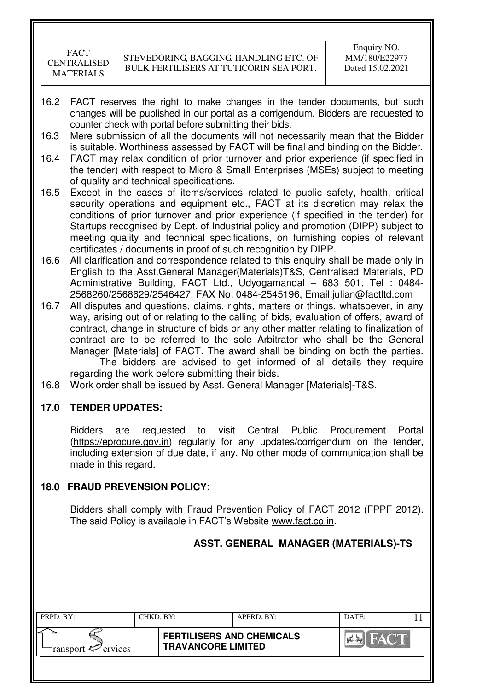- 16.2 FACT reserves the right to make changes in the tender documents, but such changes will be published in our portal as a corrigendum. Bidders are requested to counter check with portal before submitting their bids.
- 16.3 Mere submission of all the documents will not necessarily mean that the Bidder is suitable. Worthiness assessed by FACT will be final and binding on the Bidder.
- 16.4 FACT may relax condition of prior turnover and prior experience (if specified in the tender) with respect to Micro & Small Enterprises (MSEs) subject to meeting of quality and technical specifications.
- 16.5 Except in the cases of items/services related to public safety, health, critical security operations and equipment etc., FACT at its discretion may relax the conditions of prior turnover and prior experience (if specified in the tender) for Startups recognised by Dept. of Industrial policy and promotion (DIPP) subject to meeting quality and technical specifications, on furnishing copies of relevant certificates / documents in proof of such recognition by DIPP.
- 16.6 All clarification and correspondence related to this enquiry shall be made only in English to the Asst.General Manager(Materials)T&S, Centralised Materials, PD Administrative Building, FACT Ltd., Udyogamandal – 683 501, Tel : 0484- 2568260/2568629/2546427, FAX No: 0484-2545196, Email:julian@factltd.com
- 16.7 All disputes and questions, claims, rights, matters or things, whatsoever, in any way, arising out of or relating to the calling of bids, evaluation of offers, award of contract, change in structure of bids or any other matter relating to finalization of contract are to be referred to the sole Arbitrator who shall be the General Manager [Materials] of FACT. The award shall be binding on both the parties. The bidders are advised to get informed of all details they require regarding the work before submitting their bids.
- 16.8 Work order shall be issued by Asst. General Manager [Materials]-T&S.

### **17.0 TENDER UPDATES:**

Bidders are requested to visit Central Public Procurement Portal (https://eprocure.gov.in) regularly for any updates/corrigendum on the tender, including extension of due date, if any. No other mode of communication shall be made in this regard.

### **18.0 FRAUD PREVENSION POLICY:**

Bidders shall comply with Fraud Prevention Policy of FACT 2012 (FPPF 2012). The said Policy is available in FACT's Website www.fact.co.in.

|                                 |           |                                                               | ASST. GENERAL MANAGER (MATERIALS)-TS |                               |    |
|---------------------------------|-----------|---------------------------------------------------------------|--------------------------------------|-------------------------------|----|
|                                 |           |                                                               |                                      |                               |    |
|                                 |           |                                                               |                                      |                               |    |
| PRPD. BY:                       | CHKD. BY: |                                                               | APPRD. BY:                           | DATE:                         | 11 |
| ervices<br>ransport <del></del> |           | <b>FERTILISERS AND CHEMICALS</b><br><b>TRAVANCORE LIMITED</b> |                                      | <b>IFACT</b><br><b>Primer</b> |    |
|                                 |           |                                                               |                                      |                               |    |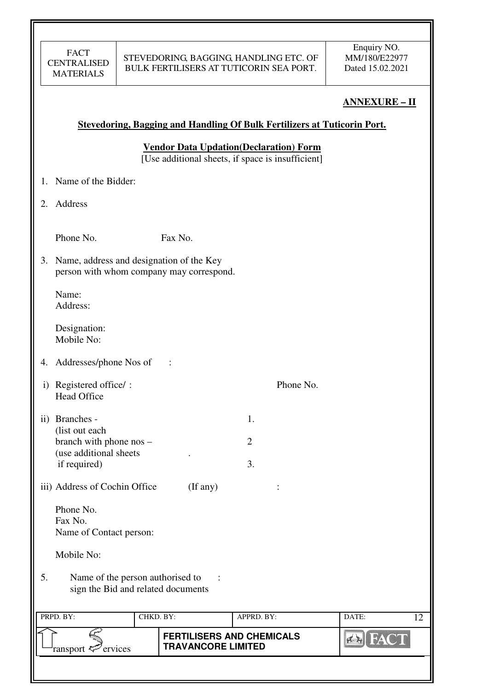# **ANNEXURE – II**

### **Stevedoring, Bagging and Handling Of Bulk Fertilizers at Tuticorin Port.**

**Vendor Data Updation(Declaration) Form** 

[Use additional sheets, if space is insufficient]

- 1. Name of the Bidder:
- 2. Address

Phone No. Fax No.

3. Name, address and designation of the Key person with whom company may correspond.

Name: Address:

Designation: Mobile No:

- 4. Addresses/phone Nos of :
- i) Registered office/ : Phone No. Head Office
- ii) Branches  $-$  1. (list out each branch with phone  $\cos$  – 2 (use additional sheets . if required) 3.
- iii) Address of Cochin Office (If any) :

 Phone No. Fax No. Name of Contact person:

Mobile No:

5. Name of the person authorised to : sign the Bid and related documents

| PRPD. BY:                     | CHKD. BY: |                                                               | APPRD. BY: | DATE: |  |
|-------------------------------|-----------|---------------------------------------------------------------|------------|-------|--|
| ransport <sup>2</sup> ervices |           | <b>FERTILISERS AND CHEMICALS</b><br><b>TRAVANCORE LIMITED</b> |            |       |  |
|                               |           |                                                               |            |       |  |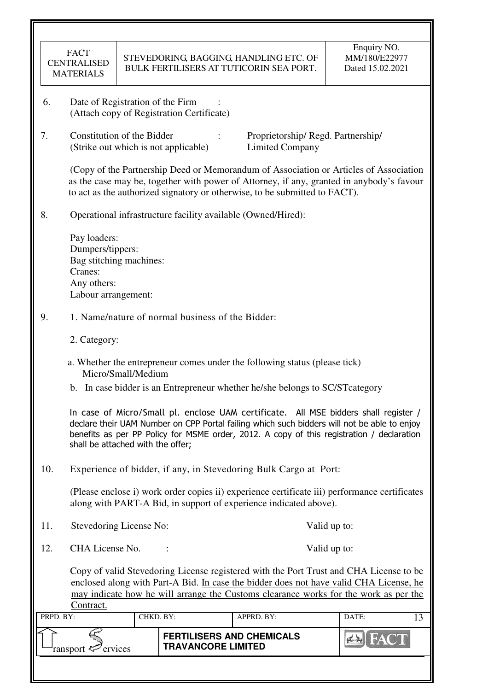|           | <b>FACT</b><br><b>CENTRALISED</b><br><b>MATERIALS</b>                                                                                                                                                                                                                                 |                    |                                                  | STEVEDORING, BAGGING, HANDLING ETC. OF<br>BULK FERTILISERS AT TUTICORIN SEA PORT. | Enquiry NO.<br>MM/180/E22977<br>Dated 15.02.2021                                                                                                                                                                                                                                 |  |  |
|-----------|---------------------------------------------------------------------------------------------------------------------------------------------------------------------------------------------------------------------------------------------------------------------------------------|--------------------|--------------------------------------------------|-----------------------------------------------------------------------------------|----------------------------------------------------------------------------------------------------------------------------------------------------------------------------------------------------------------------------------------------------------------------------------|--|--|
| 6.        | Date of Registration of the Firm                                                                                                                                                                                                                                                      |                    | (Attach copy of Registration Certificate)        |                                                                                   |                                                                                                                                                                                                                                                                                  |  |  |
| 7.        | Constitution of the Bidder                                                                                                                                                                                                                                                            |                    | (Strike out which is not applicable)             | Proprietorship/Regd. Partnership/<br><b>Limited Company</b>                       |                                                                                                                                                                                                                                                                                  |  |  |
|           |                                                                                                                                                                                                                                                                                       |                    |                                                  | to act as the authorized signatory or otherwise, to be submitted to FACT).        | (Copy of the Partnership Deed or Memorandum of Association or Articles of Association<br>as the case may be, together with power of Attorney, if any, granted in anybody's favour                                                                                                |  |  |
| 8.        |                                                                                                                                                                                                                                                                                       |                    |                                                  | Operational infrastructure facility available (Owned/Hired):                      |                                                                                                                                                                                                                                                                                  |  |  |
|           | Pay loaders:<br>Dumpers/tippers:<br>Bag stitching machines:<br>Cranes:<br>Any others:<br>Labour arrangement:                                                                                                                                                                          |                    |                                                  |                                                                                   |                                                                                                                                                                                                                                                                                  |  |  |
| 9.        |                                                                                                                                                                                                                                                                                       |                    | 1. Name/nature of normal business of the Bidder: |                                                                                   |                                                                                                                                                                                                                                                                                  |  |  |
|           | 2. Category:                                                                                                                                                                                                                                                                          |                    |                                                  |                                                                                   |                                                                                                                                                                                                                                                                                  |  |  |
|           |                                                                                                                                                                                                                                                                                       | Micro/Small/Medium |                                                  | a. Whether the entrepreneur comes under the following status (please tick)        |                                                                                                                                                                                                                                                                                  |  |  |
|           |                                                                                                                                                                                                                                                                                       |                    |                                                  | b. In case bidder is an Entrepreneur whether he/she belongs to SC/ST category     |                                                                                                                                                                                                                                                                                  |  |  |
|           | shall be attached with the offer;                                                                                                                                                                                                                                                     |                    |                                                  |                                                                                   | In case of Micro/Small pl. enclose UAM certificate. All MSE bidders shall register /<br>declare their UAM Number on CPP Portal failing which such bidders will not be able to enjoy<br>benefits as per PP Policy for MSME order, 2012. A copy of this registration / declaration |  |  |
| 10.       |                                                                                                                                                                                                                                                                                       |                    |                                                  | Experience of bidder, if any, in Stevedoring Bulk Cargo at Port:                  |                                                                                                                                                                                                                                                                                  |  |  |
|           |                                                                                                                                                                                                                                                                                       |                    |                                                  | along with PART-A Bid, in support of experience indicated above).                 | (Please enclose i) work order copies ii) experience certificate iii) performance certificates                                                                                                                                                                                    |  |  |
| 11.       | Stevedoring License No:                                                                                                                                                                                                                                                               |                    |                                                  |                                                                                   | Valid up to:                                                                                                                                                                                                                                                                     |  |  |
| 12.       | CHA License No.                                                                                                                                                                                                                                                                       |                    |                                                  |                                                                                   | Valid up to:                                                                                                                                                                                                                                                                     |  |  |
|           | Copy of valid Stevedoring License registered with the Port Trust and CHA License to be<br>enclosed along with Part-A Bid. In case the bidder does not have valid CHA License, he<br>may indicate how he will arrange the Customs clearance works for the work as per the<br>Contract. |                    |                                                  |                                                                                   |                                                                                                                                                                                                                                                                                  |  |  |
| PRPD. BY: |                                                                                                                                                                                                                                                                                       | CHKD. BY:          |                                                  | APPRD. BY:                                                                        | DATE:<br>13                                                                                                                                                                                                                                                                      |  |  |
|           | ervices<br>ransport <                                                                                                                                                                                                                                                                 |                    | <b>TRAVANCORE LIMITED</b>                        | <b>FERTILISERS AND CHEMICALS</b>                                                  |                                                                                                                                                                                                                                                                                  |  |  |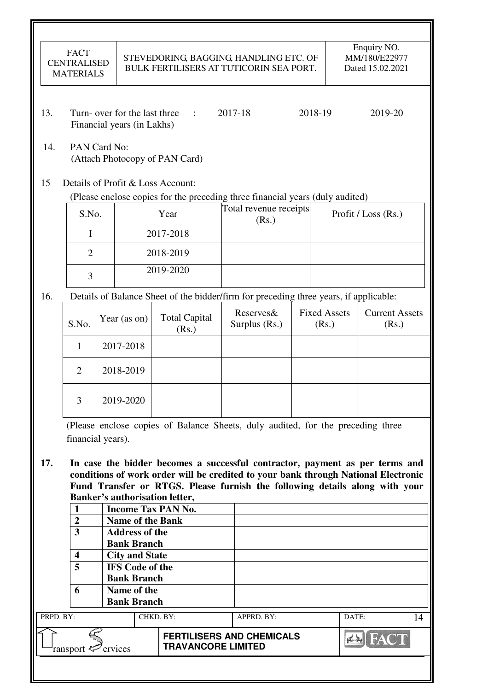|           | <b>FACT</b><br><b>CENTRALISED</b><br><b>MATERIALS</b> |  |                                                             | STEVEDORING, BAGGING, HANDLING ETC. OF<br>BULK FERTILISERS AT TUTICORIN SEA PORT.                                                                                                                                                                                                   |                                  |         |                              |       | Enquiry NO.<br>MM/180/E22977<br>Dated 15.02.2021 |    |
|-----------|-------------------------------------------------------|--|-------------------------------------------------------------|-------------------------------------------------------------------------------------------------------------------------------------------------------------------------------------------------------------------------------------------------------------------------------------|----------------------------------|---------|------------------------------|-------|--------------------------------------------------|----|
| 13.       |                                                       |  | Turn- over for the last three<br>Financial years (in Lakhs) | $\sim 1000$                                                                                                                                                                                                                                                                         | 2017-18                          | 2018-19 |                              |       | 2019-20                                          |    |
| 14.       | PAN Card No:                                          |  |                                                             | (Attach Photocopy of PAN Card)                                                                                                                                                                                                                                                      |                                  |         |                              |       |                                                  |    |
| 15        |                                                       |  |                                                             | Details of Profit & Loss Account:<br>(Please enclose copies for the preceding three financial years (duly audited)                                                                                                                                                                  |                                  |         |                              |       |                                                  |    |
|           | S.No.                                                 |  |                                                             | Year                                                                                                                                                                                                                                                                                | Total revenue receipts           |         |                              |       | Profit / Loss (Rs.)                              |    |
|           | I                                                     |  |                                                             | 2017-2018                                                                                                                                                                                                                                                                           | (Rs.)                            |         |                              |       |                                                  |    |
|           | $\overline{2}$                                        |  |                                                             | 2018-2019                                                                                                                                                                                                                                                                           |                                  |         |                              |       |                                                  |    |
|           |                                                       |  |                                                             | 2019-2020                                                                                                                                                                                                                                                                           |                                  |         |                              |       |                                                  |    |
|           | 3                                                     |  |                                                             |                                                                                                                                                                                                                                                                                     |                                  |         |                              |       |                                                  |    |
| 16.       |                                                       |  |                                                             | Details of Balance Sheet of the bidder/firm for preceding three years, if applicable:                                                                                                                                                                                               |                                  |         |                              |       |                                                  |    |
|           | S.No.                                                 |  | Year (as on)                                                | <b>Total Capital</b><br>(Rs.)                                                                                                                                                                                                                                                       | Reserves&<br>Surplus (Rs.)       |         | <b>Fixed Assets</b><br>(Rs.) |       | <b>Current Assets</b><br>(Rs.)                   |    |
|           | 2017-2018<br>1                                        |  |                                                             |                                                                                                                                                                                                                                                                                     |                                  |         |                              |       |                                                  |    |
|           | $\overline{2}$                                        |  | 2018-2019                                                   |                                                                                                                                                                                                                                                                                     |                                  |         |                              |       |                                                  |    |
|           | 3                                                     |  | 2019-2020                                                   |                                                                                                                                                                                                                                                                                     |                                  |         |                              |       |                                                  |    |
|           | financial years).                                     |  |                                                             | (Please enclose copies of Balance Sheets, duly audited, for the preceding three                                                                                                                                                                                                     |                                  |         |                              |       |                                                  |    |
| 17.       |                                                       |  |                                                             | In case the bidder becomes a successful contractor, payment as per terms and<br>conditions of work order will be credited to your bank through National Electronic<br>Fund Transfer or RTGS. Please furnish the following details along with your<br>Banker's authorisation letter, |                                  |         |                              |       |                                                  |    |
|           | $\mathbf{1}$                                          |  |                                                             | <b>Income Tax PAN No.</b>                                                                                                                                                                                                                                                           |                                  |         |                              |       |                                                  |    |
|           | $\overline{2}$<br>$\overline{\mathbf{3}}$             |  | <b>Name of the Bank</b><br><b>Address of the</b>            |                                                                                                                                                                                                                                                                                     |                                  |         |                              |       |                                                  |    |
|           |                                                       |  | <b>Bank Branch</b>                                          |                                                                                                                                                                                                                                                                                     |                                  |         |                              |       |                                                  |    |
|           | $\overline{\mathbf{4}}$                               |  | <b>City and State</b>                                       |                                                                                                                                                                                                                                                                                     |                                  |         |                              |       |                                                  |    |
|           | 5                                                     |  | <b>IFS</b> Code of the                                      |                                                                                                                                                                                                                                                                                     |                                  |         |                              |       |                                                  |    |
|           |                                                       |  | <b>Bank Branch</b>                                          |                                                                                                                                                                                                                                                                                     |                                  |         |                              |       |                                                  |    |
|           | 6                                                     |  | Name of the<br><b>Bank Branch</b>                           |                                                                                                                                                                                                                                                                                     |                                  |         |                              |       |                                                  |    |
| PRPD. BY: |                                                       |  |                                                             | CHKD. BY:                                                                                                                                                                                                                                                                           | APPRD. BY:                       |         |                              | DATE: |                                                  | 14 |
|           | ransport <sup>2</sup> ervices                         |  |                                                             | <b>TRAVANCORE LIMITED</b>                                                                                                                                                                                                                                                           | <b>FERTILISERS AND CHEMICALS</b> |         |                              |       |                                                  |    |
|           |                                                       |  |                                                             |                                                                                                                                                                                                                                                                                     |                                  |         |                              |       |                                                  |    |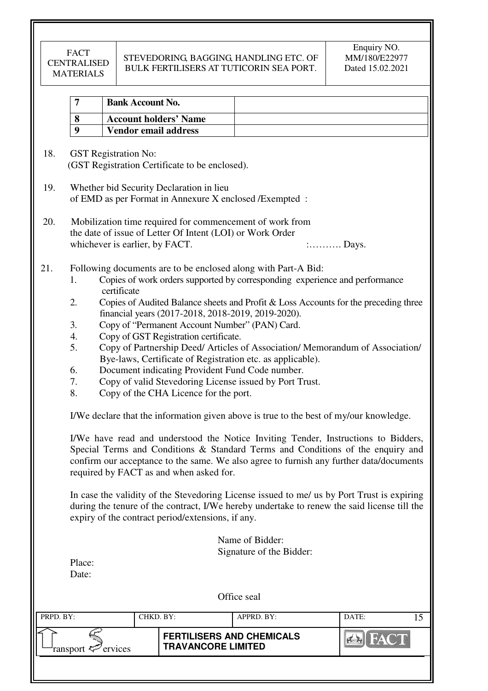# STEVEDORING, BAGGING, HANDLING ETC. OF BULK FERTILISERS AT TUTICORIN SEA PORT.

| 7                                            | <b>Bank Account No.</b>        |                                                                                                                                                                                                                                           |                                                                                                                                                                                                                                                                       |                                                                                                                                                                                                                                                                                                                                                                                                                                                               |
|----------------------------------------------|--------------------------------|-------------------------------------------------------------------------------------------------------------------------------------------------------------------------------------------------------------------------------------------|-----------------------------------------------------------------------------------------------------------------------------------------------------------------------------------------------------------------------------------------------------------------------|---------------------------------------------------------------------------------------------------------------------------------------------------------------------------------------------------------------------------------------------------------------------------------------------------------------------------------------------------------------------------------------------------------------------------------------------------------------|
| 8                                            |                                | <b>Account holders' Name</b>                                                                                                                                                                                                              |                                                                                                                                                                                                                                                                       |                                                                                                                                                                                                                                                                                                                                                                                                                                                               |
| 9                                            |                                | <b>Vendor email address</b>                                                                                                                                                                                                               |                                                                                                                                                                                                                                                                       |                                                                                                                                                                                                                                                                                                                                                                                                                                                               |
|                                              | <b>GST</b> Registration No:    | (GST Registration Certificate to be enclosed).<br>Whether bid Security Declaration in lieu                                                                                                                                                |                                                                                                                                                                                                                                                                       |                                                                                                                                                                                                                                                                                                                                                                                                                                                               |
|                                              |                                | of EMD as per Format in Annexure X enclosed /Exempted :                                                                                                                                                                                   |                                                                                                                                                                                                                                                                       |                                                                                                                                                                                                                                                                                                                                                                                                                                                               |
|                                              | whichever is earlier, by FACT. | Mobilization time required for commencement of work from<br>the date of issue of Letter Of Intent (LOI) or Work Order                                                                                                                     |                                                                                                                                                                                                                                                                       | $:\ldots \ldots \ldots$ Days.                                                                                                                                                                                                                                                                                                                                                                                                                                 |
| 1.<br>2.<br>3.<br>4.<br>5.<br>6.<br>7.<br>8. | certificate                    | financial years (2017-2018, 2018-2019, 2019-2020).<br>Copy of "Permanent Account Number" (PAN) Card.<br>Copy of GST Registration certificate.<br>Document indicating Provident Fund Code number.<br>Copy of the CHA Licence for the port. | Following documents are to be enclosed along with Part-A Bid:<br>Copies of work orders supported by corresponding experience and performance<br>Bye-laws, Certificate of Registration etc. as applicable).<br>Copy of valid Stevedoring License issued by Port Trust. | Copies of Audited Balance sheets and Profit & Loss Accounts for the preceding three<br>Copy of Partnership Deed/ Articles of Association/ Memorandum of Association/                                                                                                                                                                                                                                                                                          |
|                                              |                                |                                                                                                                                                                                                                                           |                                                                                                                                                                                                                                                                       | I/We declare that the information given above is true to the best of my/our knowledge.                                                                                                                                                                                                                                                                                                                                                                        |
|                                              |                                | required by FACT as and when asked for.<br>expiry of the contract period/extensions, if any.                                                                                                                                              |                                                                                                                                                                                                                                                                       | I/We have read and understood the Notice Inviting Tender, Instructions to Bidders,<br>Special Terms and Conditions & Standard Terms and Conditions of the enquiry and<br>confirm our acceptance to the same. We also agree to furnish any further data/documents<br>In case the validity of the Stevedoring License issued to me/ us by Port Trust is expiring<br>during the tenure of the contract, I/We hereby undertake to renew the said license till the |
| Place:<br>Date:                              |                                |                                                                                                                                                                                                                                           | Name of Bidder:<br>Signature of the Bidder:                                                                                                                                                                                                                           |                                                                                                                                                                                                                                                                                                                                                                                                                                                               |
|                                              |                                |                                                                                                                                                                                                                                           | Office seal                                                                                                                                                                                                                                                           |                                                                                                                                                                                                                                                                                                                                                                                                                                                               |
|                                              |                                | CHKD. BY:                                                                                                                                                                                                                                 |                                                                                                                                                                                                                                                                       |                                                                                                                                                                                                                                                                                                                                                                                                                                                               |
|                                              |                                |                                                                                                                                                                                                                                           | APPRD. BY:                                                                                                                                                                                                                                                            | DATE:                                                                                                                                                                                                                                                                                                                                                                                                                                                         |
| PRPD. BY:                                    |                                | <b>FERTILISERS AND CHEMICALS</b>                                                                                                                                                                                                          |                                                                                                                                                                                                                                                                       | 15                                                                                                                                                                                                                                                                                                                                                                                                                                                            |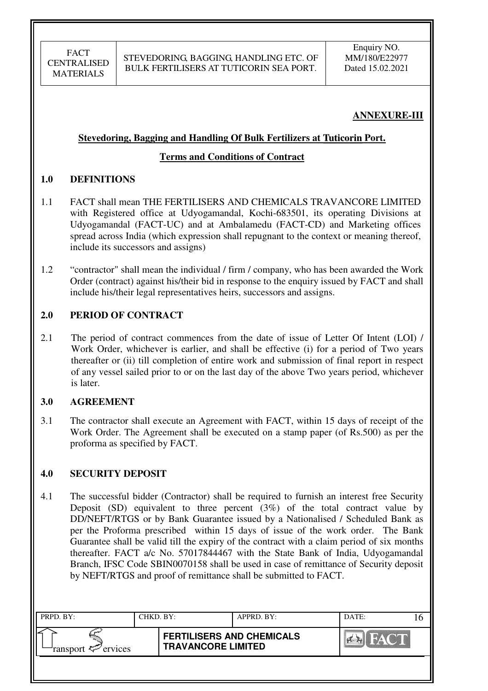# **ANNEXURE-III**

### **Stevedoring, Bagging and Handling Of Bulk Fertilizers at Tuticorin Port. n**

### **Terms and Conditions of Contract**

### **1.0 DEFINITIONS**

- 1.1 FACT shall mean THE FERTILISERS AND CHEMICALS TRAVANCORE LIMITED with Registered office at Udyogamandal, Kochi-683501, its operating Divisions at Udyogamandal (FACT-UC) and at Ambalamedu (FACT-CD) and Marketing offices spread across India (which expression shall repugnant to the context or meaning thereof, include its successors and assigns)
- 1.2 "contractor" shall mean the individual / firm / company, who has been awarded the Work Order (contract) against his/their bid in response to the enquiry issued by FACT and shall include his/their legal representatives heirs, successors and assigns.

### **2.0 PERIOD OF CONTRACT**

2.1 The period of contract commences from the date of issue of Letter Of Intent (LOI) / Work Order, whichever is earlier, and shall be effective (i) for a period of Two years thereafter or (ii) till completion of entire work and submission of final report in respect of any vessel sailed prior to or on the last day of the above Two years period, whichever is later.

### **3.0 AGREEMENT**

3.1 The contractor shall execute an Agreement with FACT, within 15 days of receipt of the Work Order. The Agreement shall be executed on a stamp paper (of Rs.500) as per the proforma as specified by FACT.

### **4.0 SECURITY DEPOSIT**

4.1 The successful bidder (Contractor) shall be required to furnish an interest free Security Deposit (SD) equivalent to three percent  $(3%)$  of the total contract value by DD/NEFT/RTGS or by Bank Guarantee issued by a Nationalised / Scheduled Bank as per the Proforma prescribed within 15 days of issue of the work order. The Bank Guarantee shall be valid till the expiry of the contract with a claim period of six months thereafter. FACT a/c No. 57017844467 with the State Bank of India, Udyogamandal Branch, IFSC Code SBIN0070158 shall be used in case of remittance of Security deposit by NEFT/RTGS and proof of remittance shall be submitted to FACT.

| PRPD. BY:                 | CHKD. BY: |                                                               | APPRD. BY: | DATE:       |  |
|---------------------------|-----------|---------------------------------------------------------------|------------|-------------|--|
| ransport $\sharp$ ervices |           | <b>FERTILISERS AND CHEMICALS</b><br><b>TRAVANCORE LIMITED</b> |            | <b>HACT</b> |  |
|                           |           |                                                               |            |             |  |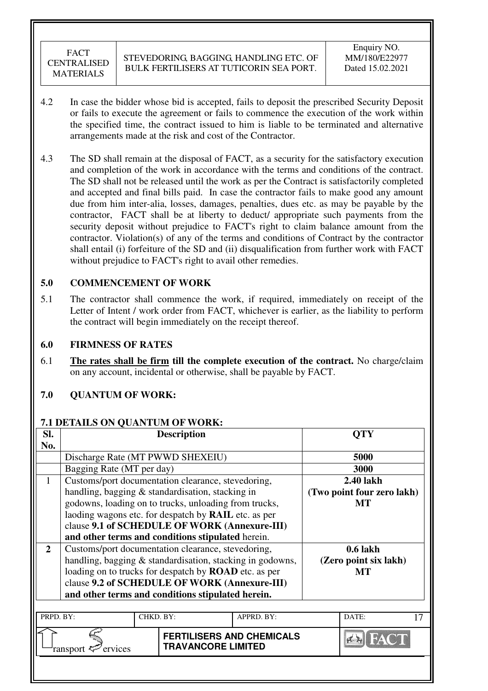- 4.2 In case the bidder whose bid is accepted, fails to deposit the prescribed Security Deposit or fails to execute the agreement or fails to commence the execution of the work within the specified time, the contract issued to him is liable to be terminated and alternative arrangements made at the risk and cost of the Contractor.
- 4.3 The SD shall remain at the disposal of FACT, as a security for the satisfactory execution and completion of the work in accordance with the terms and conditions of the contract. The SD shall not be released until the work as per the Contract is satisfactorily completed and accepted and final bills paid. In case the contractor fails to make good any amount due from him inter-alia, losses, damages, penalties, dues etc. as may be payable by the contractor, FACT shall be at liberty to deduct/ appropriate such payments from the security deposit without prejudice to FACT's right to claim balance amount from the contractor. Violation(s) of any of the terms and conditions of Contract by the contractor shall entail (i) forfeiture of the SD and (ii) disqualification from further work with FACT without prejudice to FACT's right to avail other remedies.

# **5.0 COMMENCEMENT OF WORK**

5.1 The contractor shall commence the work, if required, immediately on receipt of the Letter of Intent / work order from FACT, whichever is earlier, as the liability to perform the contract will begin immediately on the receipt thereof.

### **6.0 FIRMNESS OF RATES**

6.1 **The rates shall be firm till the complete execution of the contract.** No charge/claim on any account, incidental or otherwise, shall be payable by FACT.

### **7.0 QUANTUM OF WORK:**

#### **7.1 DETAILS ON QUANTUM OF WORK:**

| SI.            |                                                    |           | <b>Description</b>                                            |            |  | OTY                        |  |
|----------------|----------------------------------------------------|-----------|---------------------------------------------------------------|------------|--|----------------------------|--|
| No.            |                                                    |           |                                                               |            |  |                            |  |
|                | Discharge Rate (MT PWWD SHEXEIU)                   |           |                                                               |            |  | 5000                       |  |
|                | Bagging Rate (MT per day)                          |           | 3000                                                          |            |  |                            |  |
| 1              | Customs/port documentation clearance, stevedoring, |           |                                                               |            |  | 2.40 lakh                  |  |
|                |                                                    |           | handling, bagging & standardisation, stacking in              |            |  | (Two point four zero lakh) |  |
|                |                                                    |           | godowns, loading on to trucks, unloading from trucks,         |            |  | MT                         |  |
|                |                                                    |           | laoding wagons etc. for despatch by <b>RAIL</b> etc. as per   |            |  |                            |  |
|                | clause 9.1 of SCHEDULE OF WORK (Annexure-III)      |           |                                                               |            |  |                            |  |
|                |                                                    |           | and other terms and conditions stipulated herein.             |            |  |                            |  |
| $\overline{2}$ |                                                    |           | Customs/port documentation clearance, stevedoring,            |            |  | $0.6$ lakh                 |  |
|                |                                                    |           | handling, bagging & standardisation, stacking in godowns,     |            |  | (Zero point six lakh)      |  |
|                |                                                    |           | loading on to trucks for despatch by <b>ROAD</b> etc. as per  |            |  | МT                         |  |
|                |                                                    |           | clause 9.2 of SCHEDULE OF WORK (Annexure-III)                 |            |  |                            |  |
|                |                                                    |           | and other terms and conditions stipulated herein.             |            |  |                            |  |
|                |                                                    |           |                                                               |            |  |                            |  |
| PRPD. BY:      |                                                    | CHKD. BY: |                                                               | APPRD. BY: |  | DATE:                      |  |
|                | ervices<br>ransport                                |           | <b>FERTILISERS AND CHEMICALS</b><br><b>TRAVANCORE LIMITED</b> |            |  |                            |  |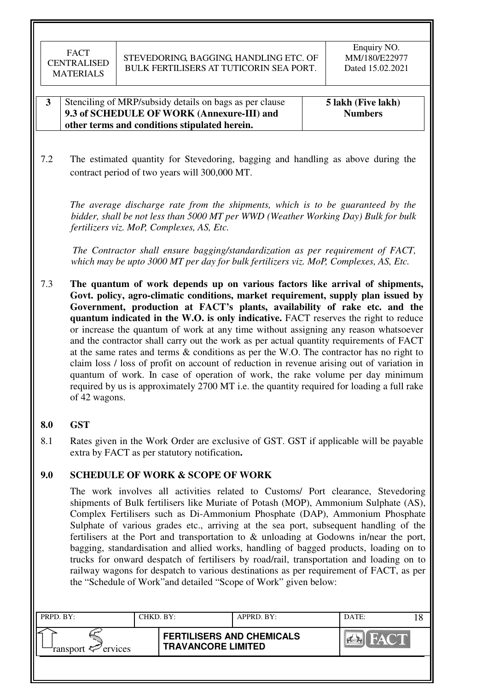#### **3** Stenciling of MRP/subsidy details on bags as per clause **9.3 of SCHEDULE OF WORK (Annexure-III) and other terms and conditions stipulated herein. 5 lakh (Five lakh) Numbers**

7.2 The estimated quantity for Stevedoring, bagging and handling as above during the contract period of two years will 300,000 MT.

*The average discharge rate from the shipments, which is to be guaranteed by the bidder, shall be not less than 5000 MT per WWD (Weather Working Day) Bulk for bulk fertilizers viz. MoP, Complexes, AS, Etc.* 

 *The Contractor shall ensure bagging/standardization as per requirement of FACT, which may be upto 3000 MT per day for bulk fertilizers viz. MoP, Complexes, AS, Etc.*

7.3 **The quantum of work depends up on various factors like arrival of shipments, Govt. policy, agro-climatic conditions, market requirement, supply plan issued by Government, production at FACT's plants, availability of rake etc. and the quantum indicated in the W.O. is only indicative.** FACT reserves the right to reduce or increase the quantum of work at any time without assigning any reason whatsoever and the contractor shall carry out the work as per actual quantity requirements of FACT at the same rates and terms & conditions as per the W.O. The contractor has no right to claim loss / loss of profit on account of reduction in revenue arising out of variation in quantum of work. In case of operation of work, the rake volume per day minimum required by us is approximately 2700 MT i.e. the quantity required for loading a full rake of 42 wagons.

### **8.0 GST**

8.1 Rates given in the Work Order are exclusive of GST. GST if applicable will be payable extra by FACT as per statutory notification**.** 

### **9.0 SCHEDULE OF WORK & SCOPE OF WORK**

 The work involves all activities related to Customs/ Port clearance, Stevedoring shipments of Bulk fertilisers like Muriate of Potash (MOP), Ammonium Sulphate (AS), Complex Fertilisers such as Di-Ammonium Phosphate (DAP), Ammonium Phosphate Sulphate of various grades etc., arriving at the sea port, subsequent handling of the fertilisers at the Port and transportation to & unloading at Godowns in/near the port, bagging, standardisation and allied works, handling of bagged products, loading on to trucks for onward despatch of fertilisers by road/rail, transportation and loading on to railway wagons for despatch to various destinations as per requirement of FACT, as per the "Schedule of Work"and detailed "Scope of Work" given below:

| PRPD. BY:                  | CHKD. BY: |                                                               | APPRD. BY: | DATE: |  |
|----------------------------|-----------|---------------------------------------------------------------|------------|-------|--|
| ransport $\approx$ ervices |           | <b>FERTILISERS AND CHEMICALS</b><br><b>TRAVANCORE LIMITED</b> |            | HAY   |  |
|                            |           |                                                               |            |       |  |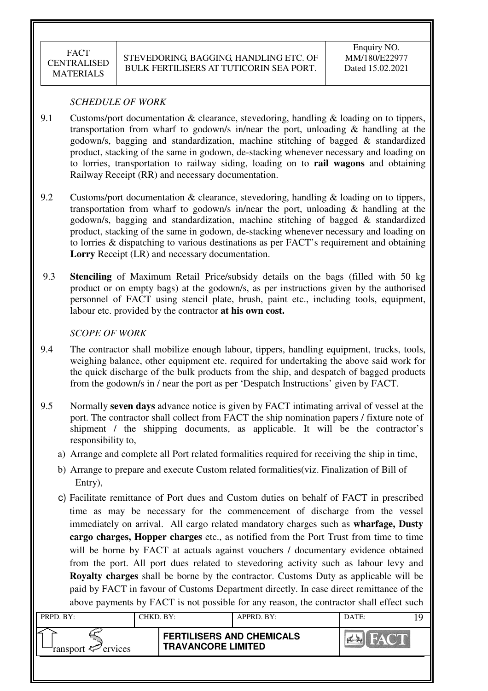#### *SCHEDULE OF WORK*

- 9.1 Customs/port documentation & clearance, stevedoring, handling & loading on to tippers, transportation from wharf to godown/s in/near the port, unloading & handling at the godown/s, bagging and standardization, machine stitching of bagged & standardized product, stacking of the same in godown, de-stacking whenever necessary and loading on to lorries, transportation to railway siding, loading on to **rail wagons** and obtaining Railway Receipt (RR) and necessary documentation.
- 9.2 Customs/port documentation & clearance, stevedoring, handling & loading on to tippers, transportation from wharf to godown/s in/near the port, unloading & handling at the godown/s, bagging and standardization, machine stitching of bagged & standardized product, stacking of the same in godown, de-stacking whenever necessary and loading on to lorries & dispatching to various destinations as per FACT's requirement and obtaining **Lorry** Receipt (LR) and necessary documentation.
- 9.3 **Stenciling** of Maximum Retail Price/subsidy details on the bags (filled with 50 kg product or on empty bags) at the godown/s, as per instructions given by the authorised personnel of FACT using stencil plate, brush, paint etc., including tools, equipment, labour etc. provided by the contractor **at his own cost.**

#### *SCOPE OF WORK*

- 9.4 The contractor shall mobilize enough labour, tippers, handling equipment, trucks, tools, weighing balance, other equipment etc. required for undertaking the above said work for the quick discharge of the bulk products from the ship, and despatch of bagged products from the godown/s in / near the port as per 'Despatch Instructions' given by FACT.
- 9.5 Normally **seven days** advance notice is given by FACT intimating arrival of vessel at the port. The contractor shall collect from FACT the ship nomination papers / fixture note of shipment / the shipping documents, as applicable. It will be the contractor's responsibility to,
	- a) Arrange and complete all Port related formalities required for receiving the ship in time,
	- b) Arrange to prepare and execute Custom related formalities(viz. Finalization of Bill of Entry),
	- c) Facilitate remittance of Port dues and Custom duties on behalf of FACT in prescribed time as may be necessary for the commencement of discharge from the vessel immediately on arrival. All cargo related mandatory charges such as **wharfage, Dusty cargo charges, Hopper charges** etc., as notified from the Port Trust from time to time will be borne by FACT at actuals against vouchers / documentary evidence obtained from the port. All port dues related to stevedoring activity such as labour levy and **Royalty charges** shall be borne by the contractor. Customs Duty as applicable will be paid by FACT in favour of Customs Department directly. In case direct remittance of the above payments by FACT is not possible for any reason, the contractor shall effect such

| PRPD. BY:              | CHKD. BY: |                                                               | APPRD. BY: | DATE: |  |
|------------------------|-----------|---------------------------------------------------------------|------------|-------|--|
| ransport $\ll$ ervices |           | <b>FERTILISERS AND CHEMICALS</b><br><b>TRAVANCORE LIMITED</b> |            | HAV I |  |
|                        |           |                                                               |            |       |  |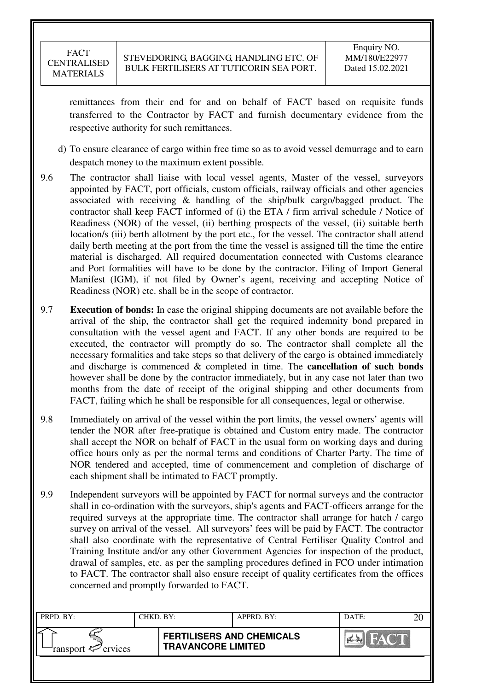remittances from their end for and on behalf of FACT based on requisite funds transferred to the Contractor by FACT and furnish documentary evidence from the respective authority for such remittances.

- d) To ensure clearance of cargo within free time so as to avoid vessel demurrage and to earn despatch money to the maximum extent possible.
- 9.6 The contractor shall liaise with local vessel agents, Master of the vessel, surveyors appointed by FACT, port officials, custom officials, railway officials and other agencies associated with receiving & handling of the ship/bulk cargo/bagged product. The contractor shall keep FACT informed of (i) the ETA / firm arrival schedule / Notice of Readiness (NOR) of the vessel, (ii) berthing prospects of the vessel, (ii) suitable berth location/s (iii) berth allotment by the port etc., for the vessel. The contractor shall attend daily berth meeting at the port from the time the vessel is assigned till the time the entire material is discharged. All required documentation connected with Customs clearance and Port formalities will have to be done by the contractor. Filing of Import General Manifest (IGM), if not filed by Owner's agent, receiving and accepting Notice of Readiness (NOR) etc. shall be in the scope of contractor.
- 9.7 **Execution of bonds:** In case the original shipping documents are not available before the arrival of the ship, the contractor shall get the required indemnity bond prepared in consultation with the vessel agent and FACT. If any other bonds are required to be executed, the contractor will promptly do so. The contractor shall complete all the necessary formalities and take steps so that delivery of the cargo is obtained immediately and discharge is commenced & completed in time. The **cancellation of such bonds** however shall be done by the contractor immediately, but in any case not later than two months from the date of receipt of the original shipping and other documents from FACT, failing which he shall be responsible for all consequences, legal or otherwise.
- 9.8 Immediately on arrival of the vessel within the port limits, the vessel owners' agents will tender the NOR after free-pratique is obtained and Custom entry made. The contractor shall accept the NOR on behalf of FACT in the usual form on working days and during office hours only as per the normal terms and conditions of Charter Party. The time of NOR tendered and accepted, time of commencement and completion of discharge of each shipment shall be intimated to FACT promptly.
- 9.9 Independent surveyors will be appointed by FACT for normal surveys and the contractor shall in co-ordination with the surveyors, ship's agents and FACT-officers arrange for the required surveys at the appropriate time. The contractor shall arrange for hatch / cargo survey on arrival of the vessel. All surveyors' fees will be paid by FACT. The contractor shall also coordinate with the representative of Central Fertiliser Quality Control and Training Institute and/or any other Government Agencies for inspection of the product, drawal of samples, etc. as per the sampling procedures defined in FCO under intimation to FACT. The contractor shall also ensure receipt of quality certificates from the offices concerned and promptly forwarded to FACT.

| PRPD. BY:              | CHKD. BY: |                                                               | APPRD. BY: | DATE: |  |
|------------------------|-----------|---------------------------------------------------------------|------------|-------|--|
| ransport $\ll$ ervices |           | <b>FERTILISERS AND CHEMICALS</b><br><b>TRAVANCORE LIMITED</b> |            |       |  |
|                        |           |                                                               |            |       |  |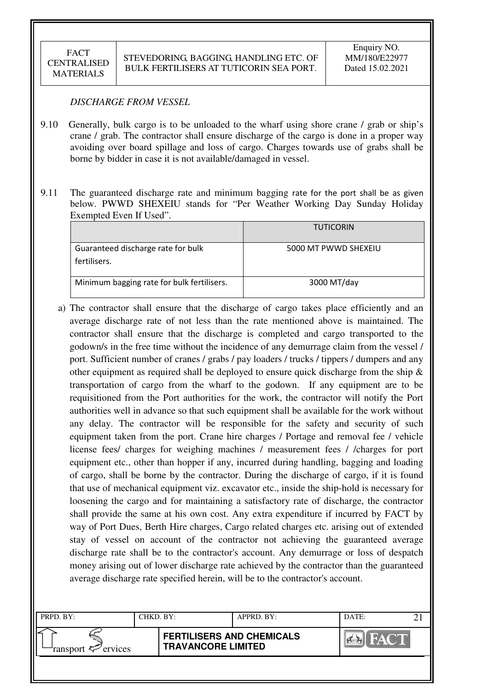#### *DISCHARGE FROM VESSEL*

- 9.10 Generally, bulk cargo is to be unloaded to the wharf using shore crane / grab or ship's crane / grab. The contractor shall ensure discharge of the cargo is done in a proper way avoiding over board spillage and loss of cargo. Charges towards use of grabs shall be borne by bidder in case it is not available/damaged in vessel.
- 9.11 The guaranteed discharge rate and minimum bagging rate for the port shall be as given below. PWWD SHEXEIU stands for "Per Weather Working Day Sunday Holiday Exempted Even If Used".

|                                            | <b>TUTICORIN</b>     |
|--------------------------------------------|----------------------|
| Guaranteed discharge rate for bulk         | 5000 MT PWWD SHEXEIU |
| fertilisers.                               |                      |
| Minimum bagging rate for bulk fertilisers. | 3000 MT/day          |

a) The contractor shall ensure that the discharge of cargo takes place efficiently and an average discharge rate of not less than the rate mentioned above is maintained. The contractor shall ensure that the discharge is completed and cargo transported to the godown/s in the free time without the incidence of any demurrage claim from the vessel / port. Sufficient number of cranes / grabs / pay loaders / trucks / tippers / dumpers and any other equipment as required shall be deployed to ensure quick discharge from the ship  $\&$ transportation of cargo from the wharf to the godown. If any equipment are to be requisitioned from the Port authorities for the work, the contractor will notify the Port authorities well in advance so that such equipment shall be available for the work without any delay. The contractor will be responsible for the safety and security of such equipment taken from the port. Crane hire charges / Portage and removal fee / vehicle license fees/ charges for weighing machines / measurement fees / /charges for port equipment etc., other than hopper if any, incurred during handling, bagging and loading of cargo, shall be borne by the contractor. During the discharge of cargo, if it is found that use of mechanical equipment viz. excavator etc., inside the ship-hold is necessary for loosening the cargo and for maintaining a satisfactory rate of discharge, the contractor shall provide the same at his own cost. Any extra expenditure if incurred by FACT by way of Port Dues, Berth Hire charges, Cargo related charges etc. arising out of extended stay of vessel on account of the contractor not achieving the guaranteed average discharge rate shall be to the contractor's account. Any demurrage or loss of despatch money arising out of lower discharge rate achieved by the contractor than the guaranteed average discharge rate specified herein, will be to the contractor's account.

| PRPD. BY:                      | CHKD. BY: |                                                               | APPRD. BY: | DATE: |  |
|--------------------------------|-----------|---------------------------------------------------------------|------------|-------|--|
| ransport $\mathcal{P}$ ervices |           | <b>FERTILISERS AND CHEMICALS</b><br><b>TRAVANCORE LIMITED</b> |            |       |  |
|                                |           |                                                               |            |       |  |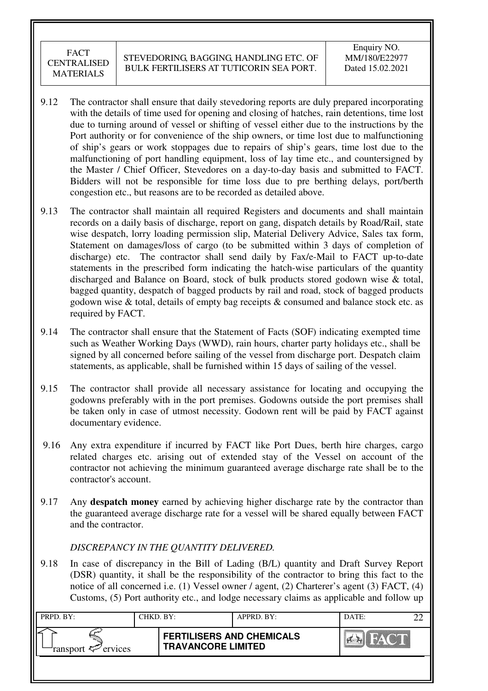- 9.12 The contractor shall ensure that daily stevedoring reports are duly prepared incorporating with the details of time used for opening and closing of hatches, rain detentions, time lost due to turning around of vessel or shifting of vessel either due to the instructions by the Port authority or for convenience of the ship owners, or time lost due to malfunctioning of ship's gears or work stoppages due to repairs of ship's gears, time lost due to the malfunctioning of port handling equipment, loss of lay time etc., and countersigned by the Master / Chief Officer, Stevedores on a day-to-day basis and submitted to FACT. Bidders will not be responsible for time loss due to pre berthing delays, port/berth congestion etc., but reasons are to be recorded as detailed above.
- 9.13 The contractor shall maintain all required Registers and documents and shall maintain records on a daily basis of discharge, report on gang, dispatch details by Road/Rail, state wise despatch, lorry loading permission slip, Material Delivery Advice, Sales tax form, Statement on damages/loss of cargo (to be submitted within 3 days of completion of discharge) etc. The contractor shall send daily by Fax/e-Mail to FACT up-to-date statements in the prescribed form indicating the hatch-wise particulars of the quantity discharged and Balance on Board, stock of bulk products stored godown wise & total, bagged quantity, despatch of bagged products by rail and road, stock of bagged products godown wise & total, details of empty bag receipts & consumed and balance stock etc. as required by FACT.
- 9.14 The contractor shall ensure that the Statement of Facts (SOF) indicating exempted time such as Weather Working Days (WWD), rain hours, charter party holidays etc., shall be signed by all concerned before sailing of the vessel from discharge port. Despatch claim statements, as applicable, shall be furnished within 15 days of sailing of the vessel.
- 9.15 The contractor shall provide all necessary assistance for locating and occupying the godowns preferably with in the port premises. Godowns outside the port premises shall be taken only in case of utmost necessity. Godown rent will be paid by FACT against documentary evidence.
- 9.16 Any extra expenditure if incurred by FACT like Port Dues, berth hire charges, cargo related charges etc. arising out of extended stay of the Vessel on account of the contractor not achieving the minimum guaranteed average discharge rate shall be to the contractor's account.
- 9.17 Any **despatch money** earned by achieving higher discharge rate by the contractor than the guaranteed average discharge rate for a vessel will be shared equally between FACT and the contractor.

### *DISCREPANCY IN THE QUANTITY DELIVERED.*

9.18 In case of discrepancy in the Bill of Lading (B/L) quantity and Draft Survey Report (DSR) quantity, it shall be the responsibility of the contractor to bring this fact to the notice of all concerned i.e. (1) Vessel owner / agent, (2) Charterer's agent (3) FACT, (4) Customs, (5) Port authority etc., and lodge necessary claims as applicable and follow up

| PRPD. BY:              | CHKD. BY: |                                                               | APPRD. BY: | DATE:  |  |
|------------------------|-----------|---------------------------------------------------------------|------------|--------|--|
| ransport $\ll$ ervices |           | <b>FERTILISERS AND CHEMICALS</b><br><b>TRAVANCORE LIMITED</b> |            | HAVING |  |
|                        |           |                                                               |            |        |  |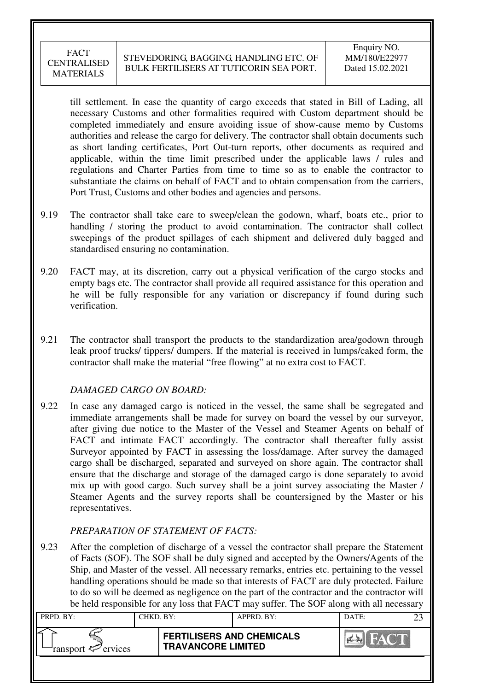till settlement. In case the quantity of cargo exceeds that stated in Bill of Lading, all necessary Customs and other formalities required with Custom department should be completed immediately and ensure avoiding issue of show-cause memo by Customs authorities and release the cargo for delivery. The contractor shall obtain documents such as short landing certificates, Port Out-turn reports, other documents as required and applicable, within the time limit prescribed under the applicable laws / rules and regulations and Charter Parties from time to time so as to enable the contractor to substantiate the claims on behalf of FACT and to obtain compensation from the carriers, Port Trust, Customs and other bodies and agencies and persons.

- 9.19 The contractor shall take care to sweep/clean the godown, wharf, boats etc., prior to handling / storing the product to avoid contamination. The contractor shall collect sweepings of the product spillages of each shipment and delivered duly bagged and standardised ensuring no contamination.
- 9.20 FACT may, at its discretion, carry out a physical verification of the cargo stocks and empty bags etc. The contractor shall provide all required assistance for this operation and he will be fully responsible for any variation or discrepancy if found during such verification.
- 9.21 The contractor shall transport the products to the standardization area/godown through leak proof trucks/ tippers/ dumpers. If the material is received in lumps/caked form, the contractor shall make the material "free flowing" at no extra cost to FACT.

#### *DAMAGED CARGO ON BOARD:*

9.22 In case any damaged cargo is noticed in the vessel, the same shall be segregated and immediate arrangements shall be made for survey on board the vessel by our surveyor, after giving due notice to the Master of the Vessel and Steamer Agents on behalf of FACT and intimate FACT accordingly. The contractor shall thereafter fully assist Surveyor appointed by FACT in assessing the loss/damage. After survey the damaged cargo shall be discharged, separated and surveyed on shore again. The contractor shall ensure that the discharge and storage of the damaged cargo is done separately to avoid mix up with good cargo. Such survey shall be a joint survey associating the Master / Steamer Agents and the survey reports shall be countersigned by the Master or his representatives.

### *PREPARATION OF STATEMENT OF FACTS:*

9.23 After the completion of discharge of a vessel the contractor shall prepare the Statement of Facts (SOF). The SOF shall be duly signed and accepted by the Owners/Agents of the Ship, and Master of the vessel. All necessary remarks, entries etc. pertaining to the vessel handling operations should be made so that interests of FACT are duly protected. Failure to do so will be deemed as negligence on the part of the contractor and the contractor will be held responsible for any loss that FACT may suffer. The SOF along with all necessary

| PRPD. BY:              | CHKD. BY: |                                                               | APPRD. BY: | DATE:           |  |
|------------------------|-----------|---------------------------------------------------------------|------------|-----------------|--|
| ransport $\ll$ ervices |           | <b>FERTILISERS AND CHEMICALS</b><br><b>TRAVANCORE LIMITED</b> |            | <b>THAT ALL</b> |  |
|                        |           |                                                               |            |                 |  |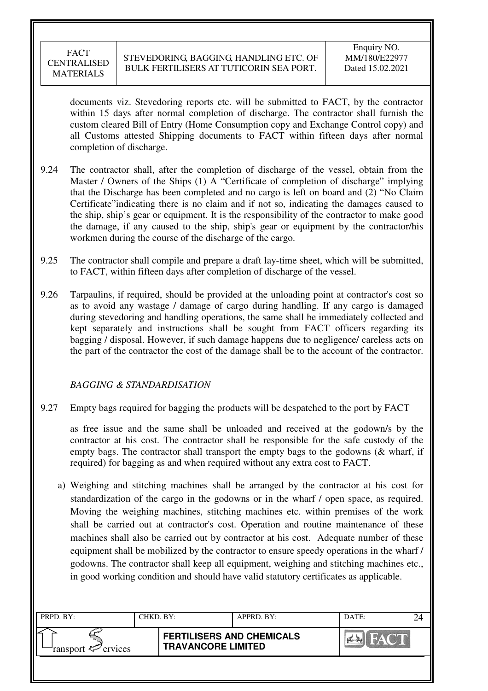documents viz. Stevedoring reports etc. will be submitted to FACT, by the contractor within 15 days after normal completion of discharge. The contractor shall furnish the custom cleared Bill of Entry (Home Consumption copy and Exchange Control copy) and all Customs attested Shipping documents to FACT within fifteen days after normal completion of discharge.

- 9.24 The contractor shall, after the completion of discharge of the vessel, obtain from the Master / Owners of the Ships (1) A "Certificate of completion of discharge" implying that the Discharge has been completed and no cargo is left on board and (2) "No Claim Certificate"indicating there is no claim and if not so, indicating the damages caused to the ship, ship's gear or equipment. It is the responsibility of the contractor to make good the damage, if any caused to the ship, ship's gear or equipment by the contractor/his workmen during the course of the discharge of the cargo.
- 9.25 The contractor shall compile and prepare a draft lay-time sheet, which will be submitted, to FACT, within fifteen days after completion of discharge of the vessel.
- 9.26 Tarpaulins, if required, should be provided at the unloading point at contractor's cost so as to avoid any wastage / damage of cargo during handling. If any cargo is damaged during stevedoring and handling operations, the same shall be immediately collected and kept separately and instructions shall be sought from FACT officers regarding its bagging / disposal. However, if such damage happens due to negligence/ careless acts on the part of the contractor the cost of the damage shall be to the account of the contractor.

### *BAGGING & STANDARDISATION*

9.27 Empty bags required for bagging the products will be despatched to the port by FACT

as free issue and the same shall be unloaded and received at the godown/s by the contractor at his cost. The contractor shall be responsible for the safe custody of the empty bags. The contractor shall transport the empty bags to the godowns (& wharf, if required) for bagging as and when required without any extra cost to FACT.

a) Weighing and stitching machines shall be arranged by the contractor at his cost for standardization of the cargo in the godowns or in the wharf / open space, as required. Moving the weighing machines, stitching machines etc. within premises of the work shall be carried out at contractor's cost. Operation and routine maintenance of these machines shall also be carried out by contractor at his cost. Adequate number of these equipment shall be mobilized by the contractor to ensure speedy operations in the wharf / godowns. The contractor shall keep all equipment, weighing and stitching machines etc., in good working condition and should have valid statutory certificates as applicable.

| PRPD. BY:                 | CHKD. BY: |                                                               | APPRD. BY: | DATE: |  |
|---------------------------|-----------|---------------------------------------------------------------|------------|-------|--|
| ransport $\sharp$ ervices |           | <b>FERTILISERS AND CHEMICALS</b><br><b>TRAVANCORE LIMITED</b> |            | HAY   |  |
|                           |           |                                                               |            |       |  |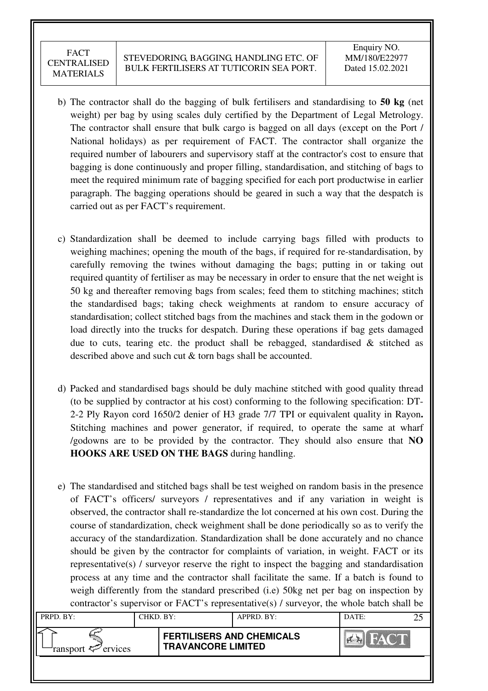- b) The contractor shall do the bagging of bulk fertilisers and standardising to **50 kg** (net weight) per bag by using scales duly certified by the Department of Legal Metrology. The contractor shall ensure that bulk cargo is bagged on all days (except on the Port / National holidays) as per requirement of FACT. The contractor shall organize the required number of labourers and supervisory staff at the contractor's cost to ensure that bagging is done continuously and proper filling, standardisation, and stitching of bags to meet the required minimum rate of bagging specified for each port productwise in earlier paragraph. The bagging operations should be geared in such a way that the despatch is carried out as per FACT's requirement.
- c) Standardization shall be deemed to include carrying bags filled with products to weighing machines; opening the mouth of the bags, if required for re-standardisation, by carefully removing the twines without damaging the bags; putting in or taking out required quantity of fertiliser as may be necessary in order to ensure that the net weight is 50 kg and thereafter removing bags from scales; feed them to stitching machines; stitch the standardised bags; taking check weighments at random to ensure accuracy of standardisation; collect stitched bags from the machines and stack them in the godown or load directly into the trucks for despatch. During these operations if bag gets damaged due to cuts, tearing etc. the product shall be rebagged, standardised  $\&$  stitched as described above and such cut & torn bags shall be accounted.
- d) Packed and standardised bags should be duly machine stitched with good quality thread (to be supplied by contractor at his cost) conforming to the following specification: DT-2-2 Ply Rayon cord 1650/2 denier of H3 grade 7/7 TPI or equivalent quality in Rayon**.**  Stitching machines and power generator, if required, to operate the same at wharf /godowns are to be provided by the contractor. They should also ensure that **NO HOOKS ARE USED ON THE BAGS** during handling.
- e) The standardised and stitched bags shall be test weighed on random basis in the presence of FACT's officers/ surveyors / representatives and if any variation in weight is observed, the contractor shall re-standardize the lot concerned at his own cost. During the course of standardization, check weighment shall be done periodically so as to verify the accuracy of the standardization. Standardization shall be done accurately and no chance should be given by the contractor for complaints of variation, in weight. FACT or its representative(s) / surveyor reserve the right to inspect the bagging and standardisation process at any time and the contractor shall facilitate the same. If a batch is found to weigh differently from the standard prescribed (i.e) 50kg net per bag on inspection by contractor's supervisor or FACT's representative(s) / surveyor, the whole batch shall be

| PRPD. BY:                  | CHKD. BY: |                                                               | APPRD. BY: | DATE: |  |
|----------------------------|-----------|---------------------------------------------------------------|------------|-------|--|
| ransport $\approx$ ervices |           | <b>FERTILISERS AND CHEMICALS</b><br><b>TRAVANCORE LIMITED</b> |            |       |  |
|                            |           |                                                               |            |       |  |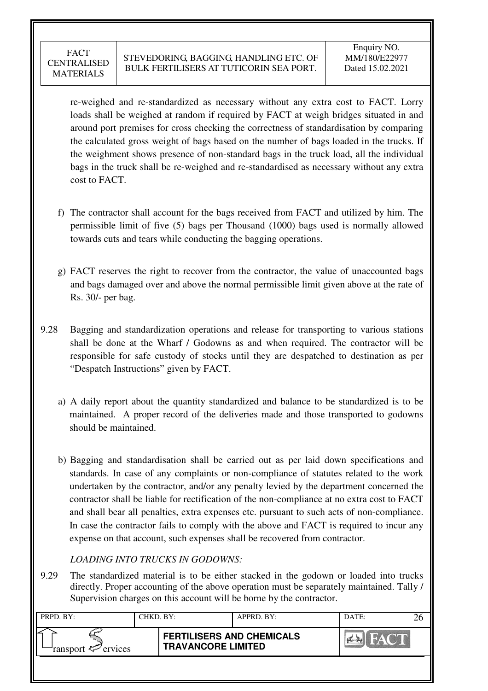re-weighed and re-standardized as necessary without any extra cost to FACT. Lorry loads shall be weighed at random if required by FACT at weigh bridges situated in and around port premises for cross checking the correctness of standardisation by comparing the calculated gross weight of bags based on the number of bags loaded in the trucks. If the weighment shows presence of non-standard bags in the truck load, all the individual bags in the truck shall be re-weighed and re-standardised as necessary without any extra cost to FACT.

- f) The contractor shall account for the bags received from FACT and utilized by him. The permissible limit of five (5) bags per Thousand (1000) bags used is normally allowed towards cuts and tears while conducting the bagging operations.
- g) FACT reserves the right to recover from the contractor, the value of unaccounted bags and bags damaged over and above the normal permissible limit given above at the rate of Rs. 30/- per bag.
- 9.28 Bagging and standardization operations and release for transporting to various stations shall be done at the Wharf / Godowns as and when required. The contractor will be responsible for safe custody of stocks until they are despatched to destination as per "Despatch Instructions" given by FACT.
	- a) A daily report about the quantity standardized and balance to be standardized is to be maintained. A proper record of the deliveries made and those transported to godowns should be maintained.
	- b) Bagging and standardisation shall be carried out as per laid down specifications and standards. In case of any complaints or non-compliance of statutes related to the work undertaken by the contractor, and/or any penalty levied by the department concerned the contractor shall be liable for rectification of the non-compliance at no extra cost to FACT and shall bear all penalties, extra expenses etc. pursuant to such acts of non-compliance. In case the contractor fails to comply with the above and FACT is required to incur any expense on that account, such expenses shall be recovered from contractor.

# *LOADING INTO TRUCKS IN GODOWNS:*

9.29 The standardized material is to be either stacked in the godown or loaded into trucks directly. Proper accounting of the above operation must be separately maintained. Tally / Supervision charges on this account will be borne by the contractor.

| PRPD. BY:              | CHKD. BY: |                                                               | APPRD. BY: | DATE:       |  |
|------------------------|-----------|---------------------------------------------------------------|------------|-------------|--|
| ransport $\ll$ ervices |           | <b>FERTILISERS AND CHEMICALS</b><br><b>TRAVANCORE LIMITED</b> |            | <b>FACT</b> |  |
|                        |           |                                                               |            |             |  |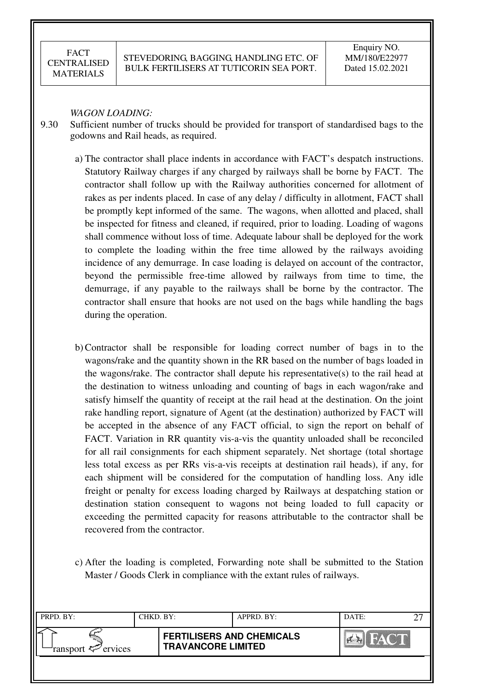#### *WAGON LOADING:*

- 9.30 Sufficient number of trucks should be provided for transport of standardised bags to the godowns and Rail heads, as required.
	- a) The contractor shall place indents in accordance with FACT's despatch instructions. Statutory Railway charges if any charged by railways shall be borne by FACT. The contractor shall follow up with the Railway authorities concerned for allotment of rakes as per indents placed. In case of any delay / difficulty in allotment, FACT shall be promptly kept informed of the same. The wagons, when allotted and placed, shall be inspected for fitness and cleaned, if required, prior to loading. Loading of wagons shall commence without loss of time. Adequate labour shall be deployed for the work to complete the loading within the free time allowed by the railways avoiding incidence of any demurrage. In case loading is delayed on account of the contractor, beyond the permissible free-time allowed by railways from time to time, the demurrage, if any payable to the railways shall be borne by the contractor. The contractor shall ensure that hooks are not used on the bags while handling the bags during the operation.
	- b) Contractor shall be responsible for loading correct number of bags in to the wagons/rake and the quantity shown in the RR based on the number of bags loaded in the wagons/rake. The contractor shall depute his representative(s) to the rail head at the destination to witness unloading and counting of bags in each wagon/rake and satisfy himself the quantity of receipt at the rail head at the destination. On the joint rake handling report, signature of Agent (at the destination) authorized by FACT will be accepted in the absence of any FACT official, to sign the report on behalf of FACT. Variation in RR quantity vis-a-vis the quantity unloaded shall be reconciled for all rail consignments for each shipment separately. Net shortage (total shortage less total excess as per RRs vis-a-vis receipts at destination rail heads), if any, for each shipment will be considered for the computation of handling loss. Any idle freight or penalty for excess loading charged by Railways at despatching station or destination station consequent to wagons not being loaded to full capacity or exceeding the permitted capacity for reasons attributable to the contractor shall be recovered from the contractor.
	- c) After the loading is completed, Forwarding note shall be submitted to the Station Master / Goods Clerk in compliance with the extant rules of railways.

| PRPD. BY:              | CHKD. BY: |                                                               | APPRD. BY: | DATE: | ົ |
|------------------------|-----------|---------------------------------------------------------------|------------|-------|---|
| ransport $\ll$ ervices |           | <b>FERTILISERS AND CHEMICALS</b><br><b>TRAVANCORE LIMITED</b> |            |       |   |
|                        |           |                                                               |            |       |   |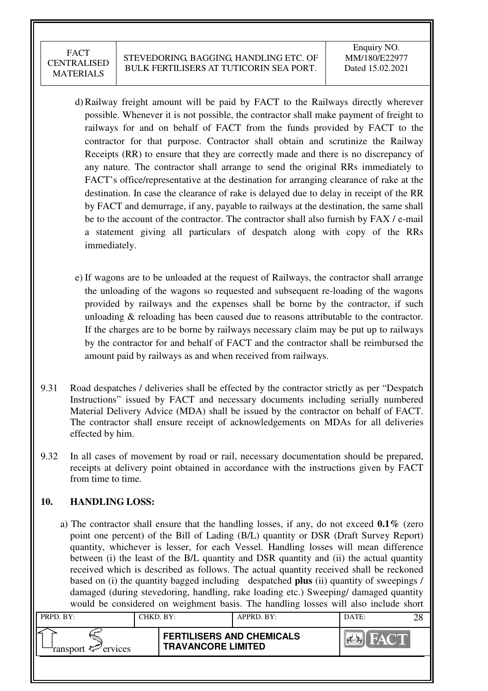- d) Railway freight amount will be paid by FACT to the Railways directly wherever possible. Whenever it is not possible, the contractor shall make payment of freight to railways for and on behalf of FACT from the funds provided by FACT to the contractor for that purpose. Contractor shall obtain and scrutinize the Railway Receipts (RR) to ensure that they are correctly made and there is no discrepancy of any nature. The contractor shall arrange to send the original RRs immediately to FACT's office/representative at the destination for arranging clearance of rake at the destination. In case the clearance of rake is delayed due to delay in receipt of the RR by FACT and demurrage, if any, payable to railways at the destination, the same shall be to the account of the contractor. The contractor shall also furnish by FAX / e-mail a statement giving all particulars of despatch along with copy of the RRs immediately.
- e) If wagons are to be unloaded at the request of Railways, the contractor shall arrange the unloading of the wagons so requested and subsequent re-loading of the wagons provided by railways and the expenses shall be borne by the contractor, if such unloading & reloading has been caused due to reasons attributable to the contractor. If the charges are to be borne by railways necessary claim may be put up to railways by the contractor for and behalf of FACT and the contractor shall be reimbursed the amount paid by railways as and when received from railways.
- 9.31 Road despatches / deliveries shall be effected by the contractor strictly as per "Despatch Instructions" issued by FACT and necessary documents including serially numbered Material Delivery Advice (MDA) shall be issued by the contractor on behalf of FACT. The contractor shall ensure receipt of acknowledgements on MDAs for all deliveries effected by him.
- 9.32 In all cases of movement by road or rail, necessary documentation should be prepared, receipts at delivery point obtained in accordance with the instructions given by FACT from time to time.

### **10. HANDLING LOSS:**

 a) The contractor shall ensure that the handling losses, if any, do not exceed **0.1%** (zero point one percent) of the Bill of Lading (B/L) quantity or DSR (Draft Survey Report) quantity, whichever is lesser, for each Vessel. Handling losses will mean difference between (i) the least of the B/L quantity and DSR quantity and (ii) the actual quantity received which is described as follows. The actual quantity received shall be reckoned based on (i) the quantity bagged including despatched **plus** (ii) quantity of sweepings / damaged (during stevedoring, handling, rake loading etc.) Sweeping/ damaged quantity would be considered on weighment basis. The handling losses will also include short

| PRPD. BY:              | CHKD. BY: |                                                               | APPRD. BY: | DATE: | 28 |
|------------------------|-----------|---------------------------------------------------------------|------------|-------|----|
| ransport $\ll$ ervices |           | <b>FERTILISERS AND CHEMICALS</b><br><b>TRAVANCORE LIMITED</b> |            |       |    |
|                        |           |                                                               |            |       |    |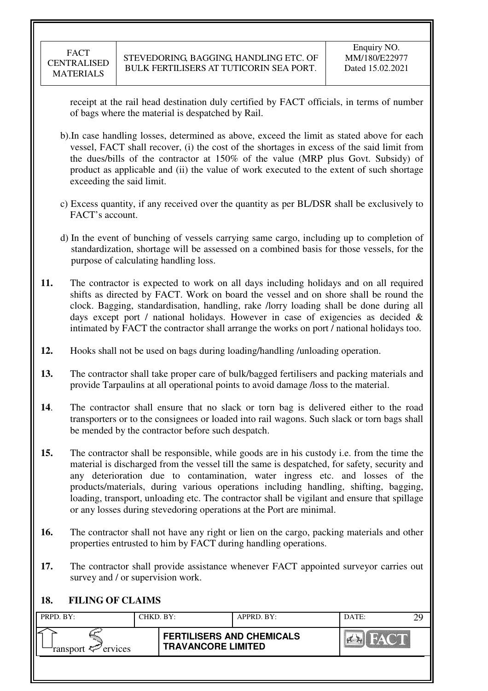receipt at the rail head destination duly certified by FACT officials, in terms of number of bags where the material is despatched by Rail.

- b).In case handling losses, determined as above, exceed the limit as stated above for each vessel, FACT shall recover, (i) the cost of the shortages in excess of the said limit from the dues/bills of the contractor at 150% of the value (MRP plus Govt. Subsidy) of product as applicable and (ii) the value of work executed to the extent of such shortage exceeding the said limit.
- c) Excess quantity, if any received over the quantity as per BL/DSR shall be exclusively to FACT's account.
- d) In the event of bunching of vessels carrying same cargo, including up to completion of standardization, shortage will be assessed on a combined basis for those vessels, for the purpose of calculating handling loss.
- **11.** The contractor is expected to work on all days including holidays and on all required shifts as directed by FACT. Work on board the vessel and on shore shall be round the clock. Bagging, standardisation, handling, rake /lorry loading shall be done during all days except port / national holidays. However in case of exigencies as decided  $\&$ intimated by FACT the contractor shall arrange the works on port / national holidays too.
- **12.** Hooks shall not be used on bags during loading/handling /unloading operation.
- **13.** The contractor shall take proper care of bulk/bagged fertilisers and packing materials and provide Tarpaulins at all operational points to avoid damage /loss to the material.
- **14**. The contractor shall ensure that no slack or torn bag is delivered either to the road transporters or to the consignees or loaded into rail wagons. Such slack or torn bags shall be mended by the contractor before such despatch.
- **15.** The contractor shall be responsible, while goods are in his custody i.e. from the time the material is discharged from the vessel till the same is despatched, for safety, security and any deterioration due to contamination, water ingress etc. and losses of the products/materials, during various operations including handling, shifting, bagging, loading, transport, unloading etc. The contractor shall be vigilant and ensure that spillage or any losses during stevedoring operations at the Port are minimal.
- **16.** The contractor shall not have any right or lien on the cargo, packing materials and other properties entrusted to him by FACT during handling operations.
- **17.** The contractor shall provide assistance whenever FACT appointed surveyor carries out survey and / or supervision work.

# **18. FILING OF CLAIMS**

| PRPD. BY:              | CHKD. BY: |                                                               | APPRD. BY: | DATE:                   | $\gamma$ q |
|------------------------|-----------|---------------------------------------------------------------|------------|-------------------------|------------|
| ransport $\ll$ ervices |           | <b>FERTILISERS AND CHEMICALS</b><br><b>TRAVANCORE LIMITED</b> |            | $\mathbb{Z}/\mathbb{Z}$ |            |
|                        |           |                                                               |            |                         |            |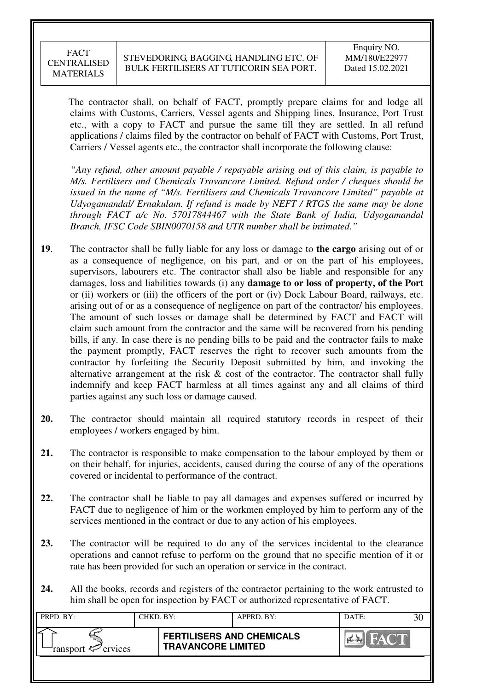The contractor shall, on behalf of FACT, promptly prepare claims for and lodge all claims with Customs, Carriers, Vessel agents and Shipping lines, Insurance, Port Trust etc., with a copy to FACT and pursue the same till they are settled. In all refund applications / claims filed by the contractor on behalf of FACT with Customs, Port Trust, Carriers / Vessel agents etc., the contractor shall incorporate the following clause:

*"Any refund, other amount payable / repayable arising out of this claim, is payable to M/s. Fertilisers and Chemicals Travancore Limited. Refund order / cheques should be issued in the name of "M/s. Fertilisers and Chemicals Travancore Limited" payable at Udyogamandal/ Ernakulam. If refund is made by NEFT / RTGS the same may be done through FACT a/c No. 57017844467 with the State Bank of India, Udyogamandal Branch, IFSC Code SBIN0070158 and UTR number shall be intimated."* 

- **19**. The contractor shall be fully liable for any loss or damage to **the cargo** arising out of or as a consequence of negligence, on his part, and or on the part of his employees, supervisors, labourers etc. The contractor shall also be liable and responsible for any damages, loss and liabilities towards (i) any **damage to or loss of property, of the Port** or (ii) workers or (iii) the officers of the port or (iv) Dock Labour Board, railways, etc. arising out of or as a consequence of negligence on part of the contractor/ his employees. The amount of such losses or damage shall be determined by FACT and FACT will claim such amount from the contractor and the same will be recovered from his pending bills, if any. In case there is no pending bills to be paid and the contractor fails to make the payment promptly, FACT reserves the right to recover such amounts from the contractor by forfeiting the Security Deposit submitted by him, and invoking the alternative arrangement at the risk  $\&$  cost of the contractor. The contractor shall fully indemnify and keep FACT harmless at all times against any and all claims of third parties against any such loss or damage caused.
- **20.** The contractor should maintain all required statutory records in respect of their employees / workers engaged by him.
- **21.** The contractor is responsible to make compensation to the labour employed by them or on their behalf, for injuries, accidents, caused during the course of any of the operations covered or incidental to performance of the contract.
- **22.** The contractor shall be liable to pay all damages and expenses suffered or incurred by FACT due to negligence of him or the workmen employed by him to perform any of the services mentioned in the contract or due to any action of his employees.
- **23.** The contractor will be required to do any of the services incidental to the clearance operations and cannot refuse to perform on the ground that no specific mention of it or rate has been provided for such an operation or service in the contract.
- **24.** All the books, records and registers of the contractor pertaining to the work entrusted to him shall be open for inspection by FACT or authorized representative of FACT.

| PRPD. BY:                      | CHKD. BY: |                                                               | APPRD. BY: | DATE: |  |
|--------------------------------|-----------|---------------------------------------------------------------|------------|-------|--|
| ransport $\mathcal{P}$ ervices |           | <b>FERTILISERS AND CHEMICALS</b><br><b>TRAVANCORE LIMITED</b> |            | FACT  |  |
|                                |           |                                                               |            |       |  |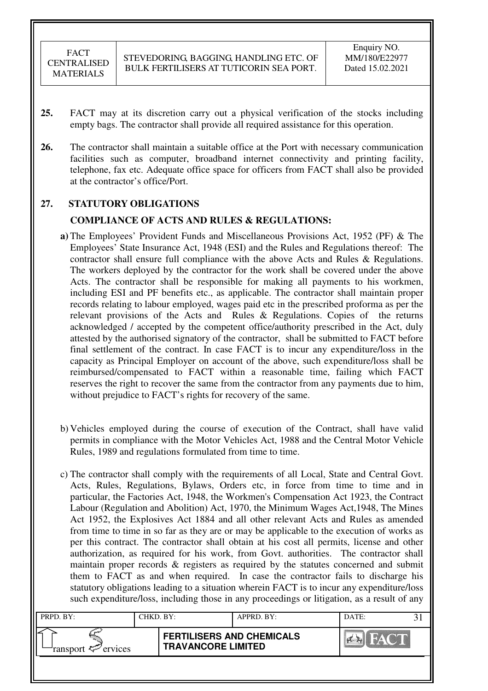- **25.** FACT may at its discretion carry out a physical verification of the stocks including empty bags. The contractor shall provide all required assistance for this operation.
- **26.** The contractor shall maintain a suitable office at the Port with necessary communication facilities such as computer, broadband internet connectivity and printing facility, telephone, fax etc. Adequate office space for officers from FACT shall also be provided at the contractor's office/Port.

### **27. STATUTORY OBLIGATIONS**

#### **COMPLIANCE OF ACTS AND RULES & REGULATIONS:**

- **a)** The Employees' Provident Funds and Miscellaneous Provisions Act, 1952 (PF) & The Employees' State Insurance Act, 1948 (ESI) and the Rules and Regulations thereof: The contractor shall ensure full compliance with the above Acts and Rules & Regulations. The workers deployed by the contractor for the work shall be covered under the above Acts. The contractor shall be responsible for making all payments to his workmen, including ESI and PF benefits etc., as applicable. The contractor shall maintain proper records relating to labour employed, wages paid etc in the prescribed proforma as per the relevant provisions of the Acts and Rules & Regulations. Copies of the returns acknowledged / accepted by the competent office/authority prescribed in the Act, duly attested by the authorised signatory of the contractor, shall be submitted to FACT before final settlement of the contract. In case FACT is to incur any expenditure/loss in the capacity as Principal Employer on account of the above, such expenditure/loss shall be reimbursed/compensated to FACT within a reasonable time, failing which FACT reserves the right to recover the same from the contractor from any payments due to him, without prejudice to FACT's rights for recovery of the same.
- b) Vehicles employed during the course of execution of the Contract, shall have valid permits in compliance with the Motor Vehicles Act, 1988 and the Central Motor Vehicle Rules, 1989 and regulations formulated from time to time.
- c) The contractor shall comply with the requirements of all Local, State and Central Govt. Acts, Rules, Regulations, Bylaws, Orders etc, in force from time to time and in particular, the Factories Act, 1948, the Workmen's Compensation Act 1923, the Contract Labour (Regulation and Abolition) Act, 1970, the Minimum Wages Act,1948, The Mines Act 1952, the Explosives Act 1884 and all other relevant Acts and Rules as amended from time to time in so far as they are or may be applicable to the execution of works as per this contract. The contractor shall obtain at his cost all permits, license and other authorization, as required for his work, from Govt. authorities. The contractor shall maintain proper records & registers as required by the statutes concerned and submit them to FACT as and when required. In case the contractor fails to discharge his statutory obligations leading to a situation wherein FACT is to incur any expenditure/loss such expenditure/loss, including those in any proceedings or litigation, as a result of any

| PRPD. BY:              | CHKD. BY: |                                                               | APPRD. BY: | DATE: |  |
|------------------------|-----------|---------------------------------------------------------------|------------|-------|--|
| ransport $\ll$ ervices |           | <b>FERTILISERS AND CHEMICALS</b><br><b>TRAVANCORE LIMITED</b> |            |       |  |
|                        |           |                                                               |            |       |  |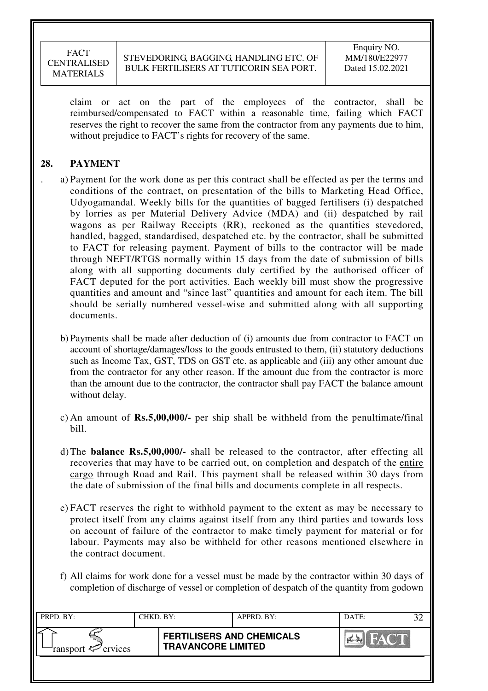claim or act on the part of the employees of the contractor, shall be reimbursed/compensated to FACT within a reasonable time, failing which FACT reserves the right to recover the same from the contractor from any payments due to him, without prejudice to FACT's rights for recovery of the same.

# **28. PAYMENT**

- . a) Payment for the work done as per this contract shall be effected as per the terms and conditions of the contract, on presentation of the bills to Marketing Head Office, Udyogamandal. Weekly bills for the quantities of bagged fertilisers (i) despatched by lorries as per Material Delivery Advice (MDA) and (ii) despatched by rail wagons as per Railway Receipts (RR), reckoned as the quantities stevedored, handled, bagged, standardised, despatched etc. by the contractor, shall be submitted to FACT for releasing payment. Payment of bills to the contractor will be made through NEFT/RTGS normally within 15 days from the date of submission of bills along with all supporting documents duly certified by the authorised officer of FACT deputed for the port activities. Each weekly bill must show the progressive quantities and amount and "since last" quantities and amount for each item. The bill should be serially numbered vessel-wise and submitted along with all supporting documents.
	- b) Payments shall be made after deduction of (i) amounts due from contractor to FACT on account of shortage/damages/loss to the goods entrusted to them, (ii) statutory deductions such as Income Tax, GST, TDS on GST etc. as applicable and (iii) any other amount due from the contractor for any other reason. If the amount due from the contractor is more than the amount due to the contractor, the contractor shall pay FACT the balance amount without delay.
	- c) An amount of **Rs.5,00,000/-** per ship shall be withheld from the penultimate/final bill.
	- d) The **balance Rs.5,00,000/-** shall be released to the contractor, after effecting all recoveries that may have to be carried out, on completion and despatch of the entire cargo through Road and Rail. This payment shall be released within 30 days from the date of submission of the final bills and documents complete in all respects.
	- e) FACT reserves the right to withhold payment to the extent as may be necessary to protect itself from any claims against itself from any third parties and towards loss on account of failure of the contractor to make timely payment for material or for labour. Payments may also be withheld for other reasons mentioned elsewhere in the contract document.
	- f) All claims for work done for a vessel must be made by the contractor within 30 days of completion of discharge of vessel or completion of despatch of the quantity from godown

| PRPD. BY:              | CHKD. BY: |                                                               | APPRD. BY: | DATE:            |  |
|------------------------|-----------|---------------------------------------------------------------|------------|------------------|--|
| ransport $\ll$ ervices |           | <b>FERTILISERS AND CHEMICALS</b><br><b>TRAVANCORE LIMITED</b> |            | <b>THEY CALL</b> |  |
|                        |           |                                                               |            |                  |  |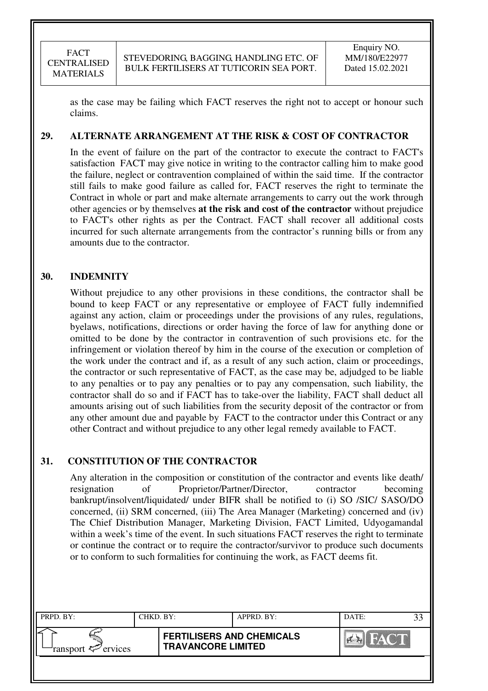as the case may be failing which FACT reserves the right not to accept or honour such claims.

### **29. ALTERNATE ARRANGEMENT AT THE RISK & COST OF CONTRACTOR**

In the event of failure on the part of the contractor to execute the contract to FACT's satisfaction FACT may give notice in writing to the contractor calling him to make good the failure, neglect or contravention complained of within the said time. If the contractor still fails to make good failure as called for, FACT reserves the right to terminate the Contract in whole or part and make alternate arrangements to carry out the work through other agencies or by themselves **at the risk and cost of the contractor** without prejudice to FACT's other rights as per the Contract. FACT shall recover all additional costs incurred for such alternate arrangements from the contractor's running bills or from any amounts due to the contractor.

#### **30. INDEMNITY**

Without prejudice to any other provisions in these conditions, the contractor shall be bound to keep FACT or any representative or employee of FACT fully indemnified against any action, claim or proceedings under the provisions of any rules, regulations, byelaws, notifications, directions or order having the force of law for anything done or omitted to be done by the contractor in contravention of such provisions etc. for the infringement or violation thereof by him in the course of the execution or completion of the work under the contract and if, as a result of any such action, claim or proceedings, the contractor or such representative of FACT, as the case may be, adjudged to be liable to any penalties or to pay any penalties or to pay any compensation, such liability, the contractor shall do so and if FACT has to take-over the liability, FACT shall deduct all amounts arising out of such liabilities from the security deposit of the contractor or from any other amount due and payable by FACT to the contractor under this Contract or any other Contract and without prejudice to any other legal remedy available to FACT.

#### **31. CONSTITUTION OF THE CONTRACTOR**

Any alteration in the composition or constitution of the contractor and events like death/ resignation of Proprietor/Partner/Director, contractor becoming bankrupt/insolvent/liquidated/ under BIFR shall be notified to (i) SO /SIC/ SASO/DO concerned, (ii) SRM concerned, (iii) The Area Manager (Marketing) concerned and (iv) The Chief Distribution Manager, Marketing Division, FACT Limited, Udyogamandal within a week's time of the event. In such situations FACT reserves the right to terminate or continue the contract or to require the contractor/survivor to produce such documents or to conform to such formalities for continuing the work, as FACT deems fit.

| PRPD. BY:              | CHKD. BY: |                                                               | APPRD. BY: | DATE: |  |
|------------------------|-----------|---------------------------------------------------------------|------------|-------|--|
| ransport $\ll$ ervices |           | <b>FERTILISERS AND CHEMICALS</b><br><b>TRAVANCORE LIMITED</b> |            |       |  |
|                        |           |                                                               |            |       |  |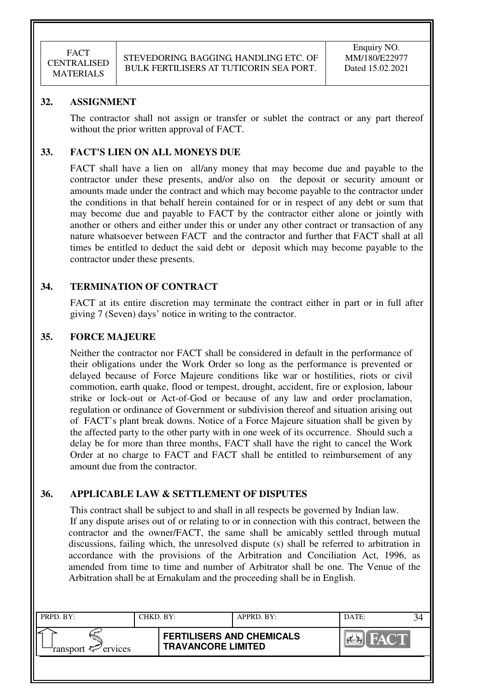### **32. ASSIGNMENT**

The contractor shall not assign or transfer or sublet the contract or any part thereof without the prior written approval of FACT.

### **33. FACT'S LIEN ON ALL MONEYS DUE**

FACT shall have a lien on all/any money that may become due and payable to the contractor under these presents, and/or also on the deposit or security amount or amounts made under the contract and which may become payable to the contractor under the conditions in that behalf herein contained for or in respect of any debt or sum that may become due and payable to FACT by the contractor either alone or jointly with another or others and either under this or under any other contract or transaction of any nature whatsoever between FACT and the contractor and further that FACT shall at all times be entitled to deduct the said debt or deposit which may become payable to the contractor under these presents.

### **34. TERMINATION OF CONTRACT**

FACT at its entire discretion may terminate the contract either in part or in full after giving 7 (Seven) days' notice in writing to the contractor.

#### **35. FORCE MAJEURE**

Neither the contractor nor FACT shall be considered in default in the performance of their obligations under the Work Order so long as the performance is prevented or delayed because of Force Majeure conditions like war or hostilities, riots or civil commotion, earth quake, flood or tempest, drought, accident, fire or explosion, labour strike or lock-out or Act-of-God or because of any law and order proclamation, regulation or ordinance of Government or subdivision thereof and situation arising out of FACT's plant break downs. Notice of a Force Majeure situation shall be given by the affected party to the other party with in one week of its occurrence. Should such a delay be for more than three months, FACT shall have the right to cancel the Work Order at no charge to FACT and FACT shall be entitled to reimbursement of any amount due from the contractor.

## **36. APPLICABLE LAW & SETTLEMENT OF DISPUTES**

This contract shall be subject to and shall in all respects be governed by Indian law. If any dispute arises out of or relating to or in connection with this contract, between the contractor and the owner/FACT, the same shall be amicably settled through mutual discussions, failing which, the unresolved dispute (s) shall be referred to arbitration in accordance with the provisions of the Arbitration and Conciliation Act, 1996, as amended from time to time and number of Arbitrator shall be one. The Venue of the Arbitration shall be at Ernakulam and the proceeding shall be in English.

| PRPD. BY:              | CHKD. BY: |                                                               | APPRD. BY: | DATE:           |  |
|------------------------|-----------|---------------------------------------------------------------|------------|-----------------|--|
| ransport $\ll$ ervices |           | <b>FERTILISERS AND CHEMICALS</b><br><b>TRAVANCORE LIMITED</b> |            | <b>TAY COLL</b> |  |
|                        |           |                                                               |            |                 |  |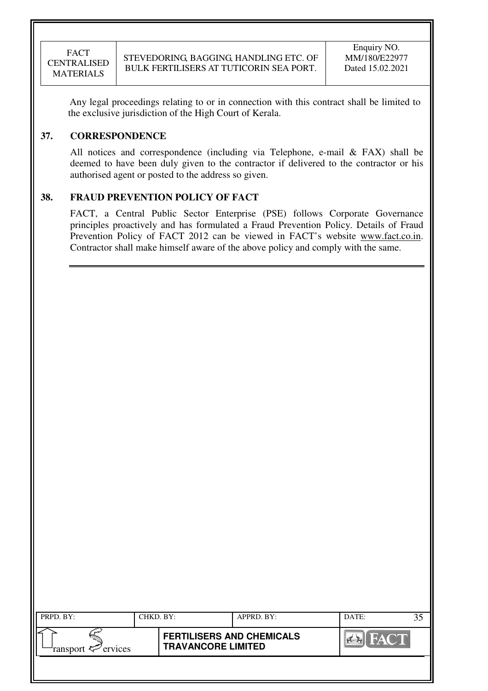Any legal proceedings relating to or in connection with this contract shall be limited to the exclusive jurisdiction of the High Court of Kerala.

### **37. CORRESPONDENCE**

All notices and correspondence (including via Telephone, e-mail & FAX) shall be deemed to have been duly given to the contractor if delivered to the contractor or his authorised agent or posted to the address so given.

# **38. FRAUD PREVENTION POLICY OF FACT**

FACT, a Central Public Sector Enterprise (PSE) follows Corporate Governance principles proactively and has formulated a Fraud Prevention Policy. Details of Fraud Prevention Policy of FACT 2012 can be viewed in FACT's website www.fact.co.in. Contractor shall make himself aware of the above policy and comply with the same.

| PRPD. BY:                  | CHKD. BY: |                                                               | APPRD. BY: | DATE:          |         |  |
|----------------------------|-----------|---------------------------------------------------------------|------------|----------------|---------|--|
| ransport $\approx$ ervices |           | <b>FERTILISERS AND CHEMICALS</b><br><b>TRAVANCORE LIMITED</b> |            | <b>Command</b> | HAY COM |  |
|                            |           |                                                               |            |                |         |  |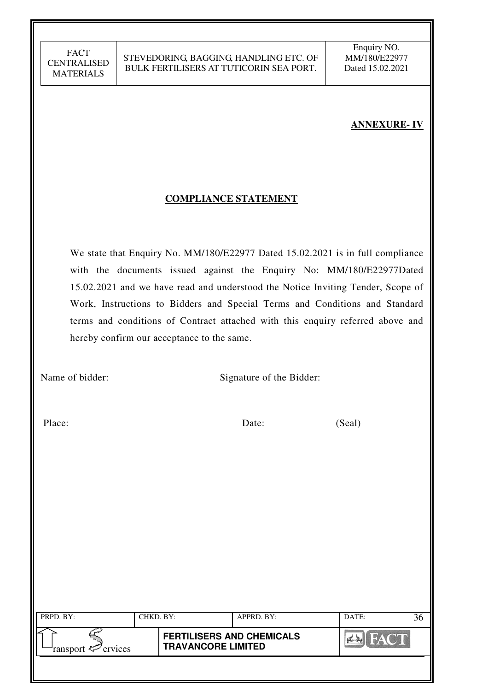# **ANNEXURE- IV**

### **COMPLIANCE STATEMENT**

 We state that Enquiry No. MM/180/E22977 Dated 15.02.2021 is in full compliance with the documents issued against the Enquiry No: MM/180/E22977Dated 15.02.2021 and we have read and understood the Notice Inviting Tender, Scope of Work, Instructions to Bidders and Special Terms and Conditions and Standard terms and conditions of Contract attached with this enquiry referred above and hereby confirm our acceptance to the same.

Name of bidder: Signature of the Bidder:

Place: Date: Date: (Seal)

| PRPD. BY:                                | CHKD. BY: |                                                               | APPRD. BY: | DATE:          |  |
|------------------------------------------|-----------|---------------------------------------------------------------|------------|----------------|--|
| ransport $\epsilon$ <sup>-</sup> ervices |           | <b>FERTILISERS AND CHEMICALS</b><br><b>TRAVANCORE LIMITED</b> |            | <b>THAT HE</b> |  |
|                                          |           |                                                               |            |                |  |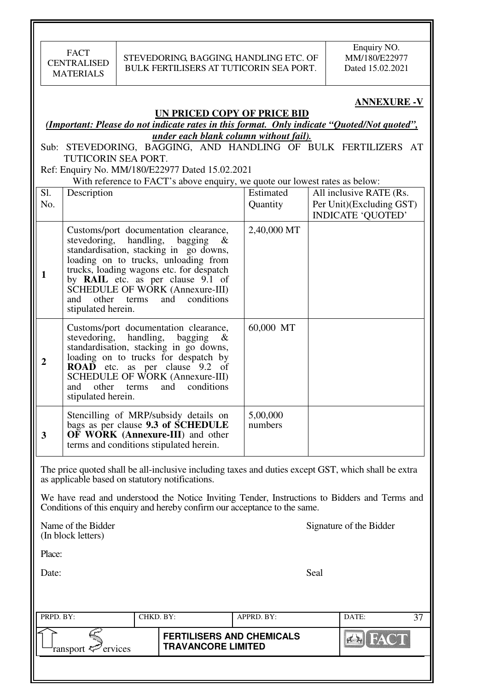### **ANNEXURE -V**

#### **UN PRICED COPY OF PRICE BID**

### *(Important: Please do not indicate rates in this format. Only indicate "Quoted/Not quoted", under each blank column without fail).*

Sub: STEVEDORING, BAGGING, AND HANDLING OF BULK FERTILIZERS AT TUTICORIN SEA PORT.

Ref: Enquiry No. MM/180/E22977 Dated 15.02.2021

#### With reference to FACT's above enquiry, we quote our lowest rates as below:

| Sl.<br>No.     | Description                                                                                                                                                                                                                                                                                                                                                | Estimated<br>Quantity | All inclusive RATE (Rs.<br>Per Unit)(Excluding GST) |
|----------------|------------------------------------------------------------------------------------------------------------------------------------------------------------------------------------------------------------------------------------------------------------------------------------------------------------------------------------------------------------|-----------------------|-----------------------------------------------------|
|                |                                                                                                                                                                                                                                                                                                                                                            |                       | <b>INDICATE 'QUOTED'</b>                            |
| 1              | Customs/port documentation clearance,<br>stevedoring, handling, bagging $\&$<br>standardisation, stacking in go downs,<br>loading on to trucks, unloading from<br>trucks, loading wagons etc. for despatch<br>by RAIL etc. as per clause 9.1 of<br><b>SCHEDULE OF WORK (Annexure-III)</b><br>and conditions<br>other<br>terms<br>and<br>stipulated herein. | 2,40,000 MT           |                                                     |
| $\overline{2}$ | Customs/port documentation clearance,<br>stevedoring, handling,<br>bagging<br>$\alpha$<br>standardisation, stacking in go downs,<br>loading on to trucks for despatch by<br>ROAD etc. as per clause 9.2 of<br>SCHEDULE OF WORK (Annexure-III)<br>conditions<br>other<br>and<br>terms<br>and<br>stipulated herein.                                          | 60,000 MT             |                                                     |
| 3              | Stencilling of MRP/subsidy details on<br>bags as per clause 9.3 of SCHEDULE<br><b>OF WORK (Annexure-III)</b> and other<br>terms and conditions stipulated herein.                                                                                                                                                                                          | 5,00,000<br>numbers   |                                                     |

The price quoted shall be all-inclusive including taxes and duties except GST, which shall be extra as applicable based on statutory notifications.

We have read and understood the Notice Inviting Tender, Instructions to Bidders and Terms and Conditions of this enquiry and hereby confirm our acceptance to the same.

(In block letters)

Name of the Bidder Signature of the Bidder

Place:

Date: Seal

| PRPD. BY:                 | CHKD. BY: |                                                               | APPRD. BY: |  | DATE: |                |
|---------------------------|-----------|---------------------------------------------------------------|------------|--|-------|----------------|
| ransport $\sharp$ ervices |           | <b>FERTILISERS AND CHEMICALS</b><br><b>TRAVANCORE LIMITED</b> |            |  |       | <b>THAT HE</b> |
|                           |           |                                                               |            |  |       |                |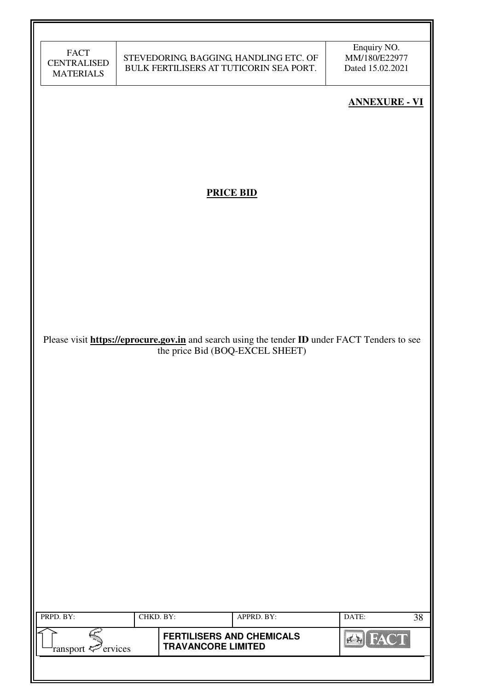| <b>FACT</b>        |
|--------------------|
| <b>CENTRALISED</b> |
| <b>MATERIALS</b>   |

Enquiry NO. MM/180/E22977 Dated 15.02.2021

# **ANNEXURE - VI**

# **PRICE BID**

Please visit **https://eprocure.gov.in** and search using the tender **ID** under FACT Tenders to see the price Bid (BOQ-EXCEL SHEET)

| PRPD. BY:                      | CHKD. BY: |                                                               | APPRD. BY: | DATE: | 38 |
|--------------------------------|-----------|---------------------------------------------------------------|------------|-------|----|
| ransport $\mathcal{P}$ ervices |           | <b>FERTILISERS AND CHEMICALS</b><br><b>TRAVANCORE LIMITED</b> |            |       |    |
|                                |           |                                                               |            |       |    |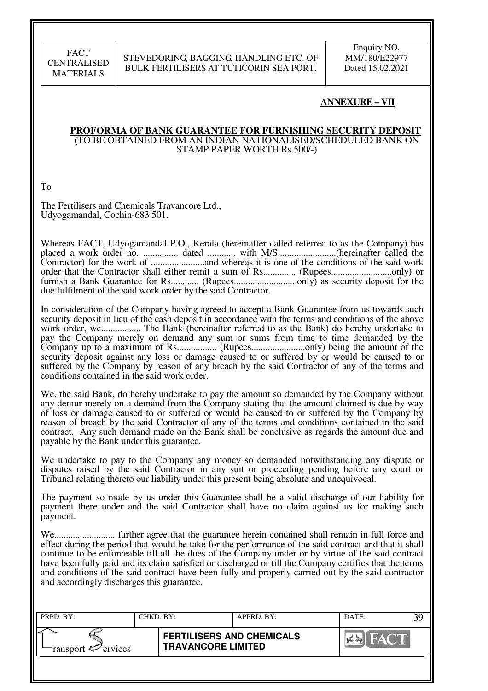### STEVEDORING, BAGGING, HANDLING ETC. OF BULK FERTILISERS AT TUTICORIN SEA PORT.

Enquiry NO. MM/180/E22977 Dated 15.02.2021

### **ANNEXURE – VII**

#### **PROFORMA OF BANK GUARANTEE FOR FURNISHING SECURITY DEPOSIT**  (TO BE OBTAINED FROM AN INDIAN NATIONALISED/SCHEDULED BANK ON STAMP PAPER WORTH Rs.500/-)

To

The Fertilisers and Chemicals Travancore Ltd., Udyogamandal, Cochin-683 501.

Whereas FACT, Udyogamandal P.O., Kerala (hereinafter called referred to as the Company) has placed a work order no. ............... dated ............ with M/S.........................(hereinafter called the Contractor) for the work of .......................and whereas it is one of the conditions of the said work order that the Contractor shall either remit a sum of Rs.............. (Rupees..........................only) or furnish a Bank Guarantee for Rs............ (Rupees...........................only) as security deposit for the due fulfilment of the said work order by the said Contractor.

In consideration of the Company having agreed to accept a Bank Guarantee from us towards such security deposit in lieu of the cash deposit in accordance with the terms and conditions of the above work order, we................. The Bank (hereinafter referred to as the Bank) do hereby undertake to pay the Company merely on demand any sum or sums from time to time demanded by the Company up to a maximum of Rs................. (Rupees.......................only) being the amount of the security deposit against any loss or damage caused to or suffered by or would be caused to or suffered by the Company by reason of any breach by the said Contractor of any of the terms and conditions contained in the said work order.

We, the said Bank, do hereby undertake to pay the amount so demanded by the Company without any demur merely on a demand from the Company stating that the amount claimed is due by way of loss or damage caused to or suffered or would be caused to or suffered by the Company by reason of breach by the said Contractor of any of the terms and conditions contained in the said contract. Any such demand made on the Bank shall be conclusive as regards the amount due and payable by the Bank under this guarantee.

We undertake to pay to the Company any money so demanded notwithstanding any dispute or disputes raised by the said Contractor in any suit or proceeding pending before any court or Tribunal relating thereto our liability under this present being absolute and unequivocal.

The payment so made by us under this Guarantee shall be a valid discharge of our liability for payment there under and the said Contractor shall have no claim against us for making such payment.

We.......................... further agree that the guarantee herein contained shall remain in full force and effect during the period that would be take for the performance of the said contract and that it shall continue to be enforceable till all the dues of the Company under or by virtue of the said contract have been fully paid and its claim satisfied or discharged or till the Company certifies that the terms and conditions of the said contract have been fully and properly carried out by the said contractor and accordingly discharges this guarantee.

| PRPD. BY:              | CHKD. BY: |                                                               | APPRD. BY: |         | DATE: | 39 |
|------------------------|-----------|---------------------------------------------------------------|------------|---------|-------|----|
| ransport $\ll$ ervices |           | <b>FERTILISERS AND CHEMICALS</b><br><b>TRAVANCORE LIMITED</b> |            | HAY CHA |       |    |
|                        |           |                                                               |            |         |       |    |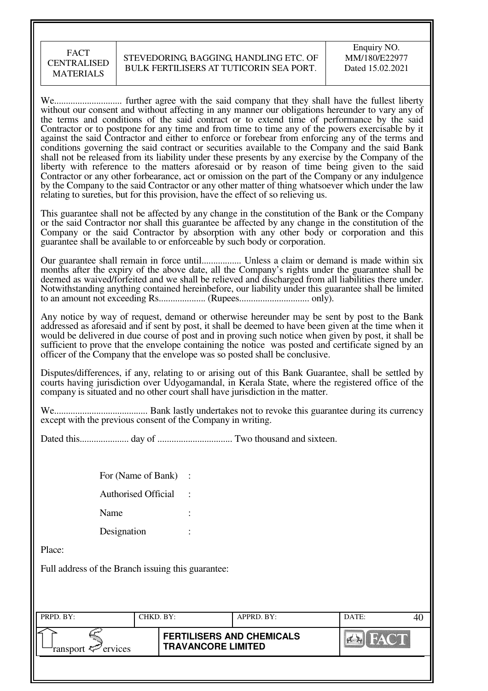#### STEVEDORING, BAGGING, HANDLING ETC. OF BULK FERTILISERS AT TUTICORIN SEA PORT.

We............................. further agree with the said company that they shall have the fullest liberty without our consent and without affecting in any manner our obligations hereunder to vary any of the terms and conditions of the said contract or to extend time of performance by the said Contractor or to postpone for any time and from time to time any of the powers exercisable by it against the said Contractor and either to enforce or forebear from enforcing any of the terms and conditions governing the said contract or securities available to the Company and the said Bank shall not be released from its liability under these presents by any exercise by the Company of the liberty with reference to the matters aforesaid or by reason of time being given to the said Contractor or any other forbearance, act or omission on the part of the Company or any indulgence by the Company to the said Contractor or any other matter of thing whatsoever which under the law relating to sureties, but for this provision, have the effect of so relieving us.

This guarantee shall not be affected by any change in the constitution of the Bank or the Company or the said Contractor nor shall this guarantee be affected by any change in the constitution of the Company or the said Contractor by absorption with any other body or corporation and this guarantee shall be available to or enforceable by such body or corporation.

Our guarantee shall remain in force until................. Unless a claim or demand is made within six months after the expiry of the above date, all the Company's rights under the guarantee shall be deemed as waived/forfeited and we shall be relieved and discharged from all liabilities there under. Notwithstanding anything contained hereinbefore, our liability under this guarantee shall be limited to an amount not exceeding Rs.................... (Rupees.............................. only).

Any notice by way of request, demand or otherwise hereunder may be sent by post to the Bank addressed as aforesaid and if sent by post, it shall be deemed to have been given at the time when it would be delivered in due course of post and in proving such notice when given by post, it shall be sufficient to prove that the envelope containing the notice was posted and certificate signed by an officer of the Company that the envelope was so posted shall be conclusive.

Disputes/differences, if any, relating to or arising out of this Bank Guarantee, shall be settled by courts having jurisdiction over Udyogamandal, in Kerala State, where the registered office of the company is situated and no other court shall have jurisdiction in the matter.

We........................................ Bank lastly undertakes not to revoke this guarantee during its currency except with the previous consent of the Company in writing.

Dated this..................... day of ................................ Two thousand and sixteen.

| For (Name of Bank)         |  |
|----------------------------|--|
| <b>Authorised Official</b> |  |
| Name                       |  |
| Designation                |  |

Place:

Full address of the Branch issuing this guarantee:

| PRPD. BY:              | CHKD. BY: | APPRD. BY:                                                    | DATE: |       |  |
|------------------------|-----------|---------------------------------------------------------------|-------|-------|--|
| ransport $\ll$ ervices |           | <b>FERTILISERS AND CHEMICALS</b><br><b>TRAVANCORE LIMITED</b> |       | HAY T |  |
|                        |           |                                                               |       |       |  |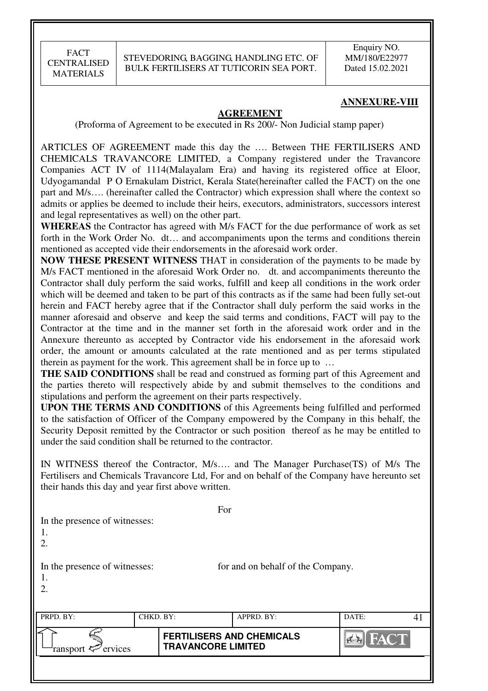### **ANNEXURE-VIII**

#### **AGREEMENT**

(Proforma of Agreement to be executed in Rs 200/- Non Judicial stamp paper)

ARTICLES OF AGREEMENT made this day the …. Between THE FERTILISERS AND CHEMICALS TRAVANCORE LIMITED, a Company registered under the Travancore Companies ACT IV of 1114(Malayalam Era) and having its registered office at Eloor, Udyogamandal P O Ernakulam District, Kerala State(hereinafter called the FACT) on the one part and M/s…. (hereinafter called the Contractor) which expression shall where the context so admits or applies be deemed to include their heirs, executors, administrators, successors interest and legal representatives as well) on the other part.

**WHEREAS** the Contractor has agreed with M/s FACT for the due performance of work as set forth in the Work Order No. dt... and accompaniments upon the terms and conditions therein mentioned as accepted vide their endorsements in the aforesaid work order.

**NOW THESE PRESENT WITNESS** THAT in consideration of the payments to be made by M/s FACT mentioned in the aforesaid Work Order no. dt. and accompaniments thereunto the Contractor shall duly perform the said works, fulfill and keep all conditions in the work order which will be deemed and taken to be part of this contracts as if the same had been fully set-out herein and FACT hereby agree that if the Contractor shall duly perform the said works in the manner aforesaid and observe and keep the said terms and conditions, FACT will pay to the Contractor at the time and in the manner set forth in the aforesaid work order and in the Annexure thereunto as accepted by Contractor vide his endorsement in the aforesaid work order, the amount or amounts calculated at the rate mentioned and as per terms stipulated therein as payment for the work. This agreement shall be in force up to …

**THE SAID CONDITIONS** shall be read and construed as forming part of this Agreement and the parties thereto will respectively abide by and submit themselves to the conditions and stipulations and perform the agreement on their parts respectively.

**UPON THE TERMS AND CONDITIONS** of this Agreements being fulfilled and performed to the satisfaction of Officer of the Company empowered by the Company in this behalf, the Security Deposit remitted by the Contractor or such position thereof as he may be entitled to under the said condition shall be returned to the contractor.

IN WITNESS thereof the Contractor, M/s…. and The Manager Purchase(TS) of M/s The Fertilisers and Chemicals Travancore Ltd, For and on behalf of the Company have hereunto set their hands this day and year first above written.

| In the presence of witnesses:<br>1.<br>2. |           | For                                                           |                                   |             |    |
|-------------------------------------------|-----------|---------------------------------------------------------------|-----------------------------------|-------------|----|
| In the presence of witnesses:<br>1.<br>2. |           |                                                               | for and on behalf of the Company. |             |    |
| PRPD. BY:                                 | CHKD. BY: |                                                               | APPRD. BY:                        | DATE:       | 41 |
| ervices<br>ransport                       |           | <b>FERTILISERS AND CHEMICALS</b><br><b>TRAVANCORE LIMITED</b> |                                   | <b>FACT</b> |    |
|                                           |           |                                                               |                                   |             |    |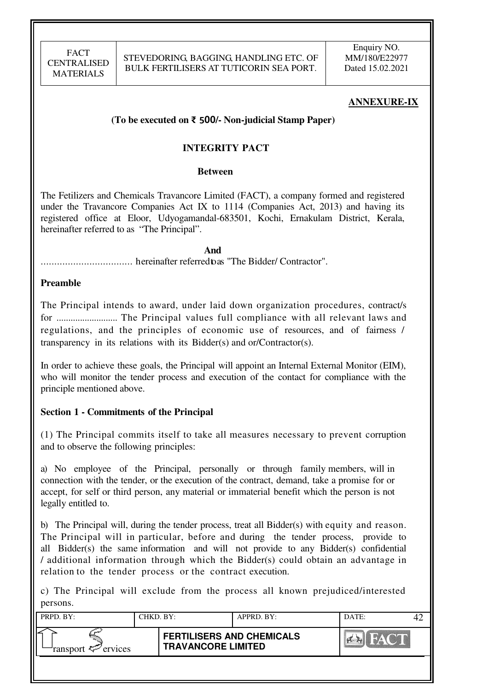### **ANNEXURE-IX**

### **(To be executed on** ₹ 500**/- Non-judicial Stamp Paper)**

### **INTEGRITY PACT**

#### **Between**

The Fetilizers and Chemicals Travancore Limited (FACT), a company formed and registered under the Travancore Companies Act IX to 1114 (Companies Act, 2013) and having its registered office at Eloor, Udyogamandal-683501, Kochi, Ernakulam District, Kerala, hereinafter referred to as "The Principal".

*And* .................................. hereinafter referred to as "The Bidder/ Contractor".

#### **Preamble**

The Principal intends to award, under laid down organization procedures, contract/s for .......................... The Principal values full compliance with all relevant laws and regulations, and the principles of economic use of resources, and of fairness / transparency in its relations with its Bidder(s) and or/Contractor(s).

In order to achieve these goals, the Principal will appoint an Internal External Monitor (EIM), who will monitor the tender process and execution of the contact for compliance with the principle mentioned above.

#### **Section 1 - Commitments of the Principal**

(1) The Principal commits itself to take all measures necessary to prevent corruption and to observe the following principles:

a) No employee of the Principal, personally or through family members, will in connection with the tender, or the execution of the contract, demand, take a promise for or accept, for self or third person, any material or immaterial benefit which the person is not legally entitled to.

b) The Principal will, during the tender process, treat all Bidder(s) with equity and reason. The Principal will in particular, before and during the tender process, provide to all Bidder(s) the same information and will not provide to any Bidder(s) confidential / additional information through which the Bidder(s) could obtain an advantage in relation to the tender process or the contract execution.

c) The Principal will exclude from the process all known prejudiced/interested persons.

| PRPD. BY:              | CHKD. BY: |                                                               | APPRD. BY: | DATE:       |  |
|------------------------|-----------|---------------------------------------------------------------|------------|-------------|--|
| ransport $\ll$ ervices |           | <b>FERTILISERS AND CHEMICALS</b><br><b>TRAVANCORE LIMITED</b> |            | <b>FACT</b> |  |
|                        |           |                                                               |            |             |  |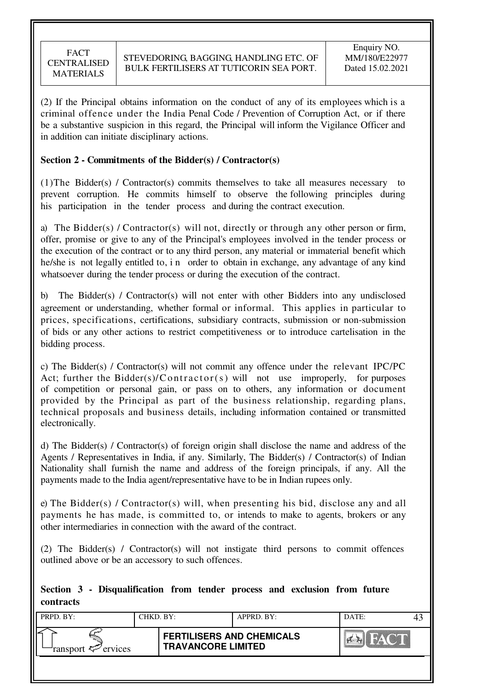(2) If the Principal obtains information on the conduct of any of its employees which is a criminal offence under the India Penal Code / Prevention of Corruption Act, or if there be a substantive suspicion in this regard, the Principal will inform the Vigilance Officer and in addition can initiate disciplinary actions.

### **Section 2 - Commitments of the Bidder(s) / Contractor(s)**

(1)The Bidder(s) / Contractor(s) commits themselves to take all measures necessary to prevent corruption. He commits himself to observe the following principles during his participation in the tender process and during the contract execution.

a) The Bidder(s) / Contractor(s) will not, directly or through any other person or firm, offer, promise or give to any of the Principal's employees involved in the tender process or the execution of the contract or to any third person, any material or immaterial benefit which he/she is not legally entitled to, in order to obtain in exchange, any advantage of any kind whatsoever during the tender process or during the execution of the contract.

b) The Bidder(s) / Contractor(s) will not enter with other Bidders into any undisclosed agreement or understanding, whether formal or informal. This applies in particular to prices, specifications, certifications, subsidiary contracts, submission or non-submission of bids or any other actions to restrict competitiveness or to introduce cartelisation in the bidding process.

c) The Bidder(s) / Contractor(s) will not commit any offence under the relevant IPC/PC Act; further the Bidder(s)/ $\text{Contractor}(s)$  will not use improperly, for purposes of competition or personal gain, or pass on to others, any information or document provided by the Principal as part of the business relationship, regarding plans, technical proposals and business details, including information contained or transmitted electronically.

d) The Bidder(s) / Contractor(s) of foreign origin shall disclose the name and address of the Agents / Representatives in India, if any. Similarly, The Bidder(s) / Contractor(s) of Indian Nationality shall furnish the name and address of the foreign principals, if any. All the payments made to the India agent/representative have to be in Indian rupees only.

e) The Bidder(s) / Contractor(s) will, when presenting his bid, disclose any and all payments he has made, is committed to, or intends to make to agents, brokers or any other intermediaries in connection with the award of the contract.

(2) The Bidder(s) / Contractor(s) will not instigate third persons to commit offences outlined above or be an accessory to such offences.

### **Section 3 - Disqualification from tender process and exclusion from future contracts**

| PRPD. BY:                 | CHKD. BY: |                                                               | APPRD. BY: | DATE: |  |
|---------------------------|-----------|---------------------------------------------------------------|------------|-------|--|
| ransport $\sharp$ ervices |           | <b>FERTILISERS AND CHEMICALS</b><br><b>TRAVANCORE LIMITED</b> |            | HAYOL |  |
|                           |           |                                                               |            |       |  |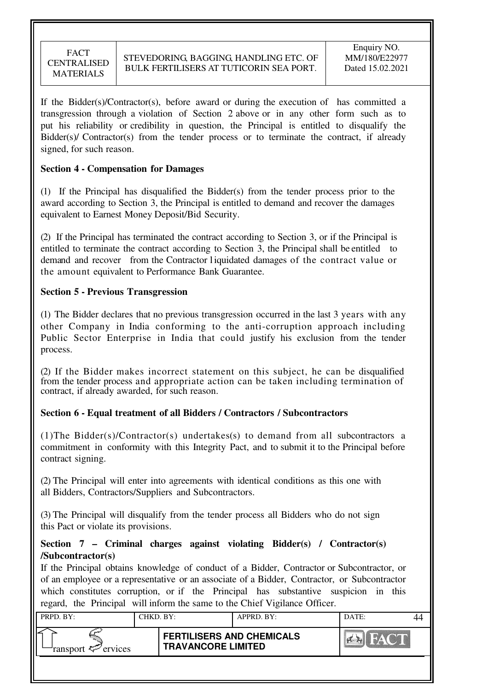If the Bidder(s)/Contractor(s), before award or during the execution of has committed a transgression through a violation of Section 2 above or in any other form such as to put his reliability or credibility in question, the Principal is entitled to disqualify the Bidder(s)/ Contractor(s) from the tender process or to terminate the contract, if already signed, for such reason.

### **Section 4 - Compensation for Damages**

(1) If the Principal has disqualified the Bidder(s) from the tender process prior to the award according to Section 3, the Principal is entitled to demand and recover the damages equivalent to Earnest Money Deposit/Bid Security.

(2) If the Principal has terminated the contract according to Section 3, or if the Principal is entitled to terminate the contract according to Section 3, the Principal shall be entitled to demand and recover from the Contractor l iquidated damages of the contract value or the amount equivalent to Performance Bank Guarantee.

### **Section 5 - Previous Transgression**

(1) The Bidder declares that no previous transgression occurred in the last 3 years with any other Company in India conforming to the anti-corruption approach including Public Sector Enterprise in India that could justify his exclusion from the tender process.

(2) If the Bidder makes incorrect statement on this subject, he can be disqualified from the tender process and appropriate action can be taken including termination of contract, if already awarded, for such reason.

### **Section 6 - Equal treatment of all Bidders / Contractors / Subcontractors**

(1)The Bidder(s)/Contractor(s) undertakes(s) to demand from all subcontractors a commitment in conformity with this Integrity Pact, and to submit it to the Principal before contract signing.

(2) The Principal will enter into agreements with identical conditions as this one with all Bidders, Contractors/Suppliers and Subcontractors.

(3) The Principal will disqualify from the tender process all Bidders who do not sign this Pact or violate its provisions.

### **Section 7 – Criminal charges against violating Bidder(s) / Contractor(s) /Subcontractor(s)**

If the Principal obtains knowledge of conduct of a Bidder, Contractor or Subcontractor, or of an employee or a representative or an associate of a Bidder, Contractor, or Subcontractor which constitutes corruption, or if the Principal has substantive suspicion in this regard, the Principal will inform the same to the Chief Vigilance Officer.

| PRPD. BY:              | CHKD. BY: |                                                               | $APPRD$ . BY: | DATE: |  |
|------------------------|-----------|---------------------------------------------------------------|---------------|-------|--|
| ransport $\ll$ ervices |           | <b>FERTILISERS AND CHEMICALS</b><br><b>TRAVANCORE LIMITED</b> |               | FACT  |  |
|                        |           |                                                               |               |       |  |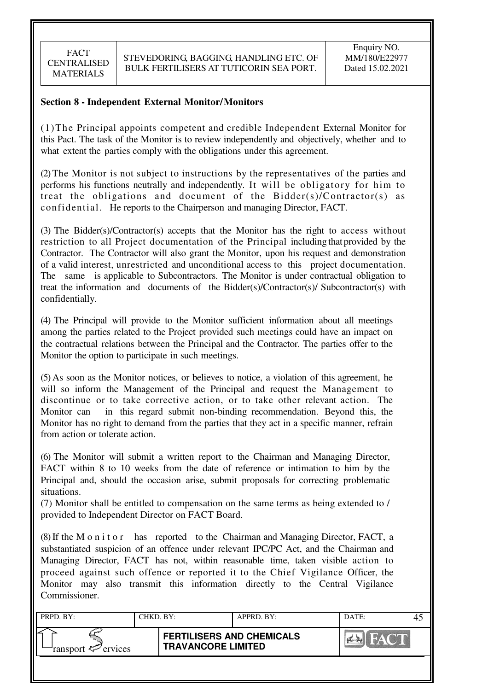### **Section 8 - Independent External Monitor/Monitors**

(1)The Principal appoints competent and credible Independent External Monitor for this Pact. The task of the Monitor is to review independently and objectively, whether and to what extent the parties comply with the obligations under this agreement.

(2) The Monitor is not subject to instructions by the representatives of the parties and performs his functions neutrally and independently. It will be obligatory for him to treat the obligations and document of the Bidder(s)/Contractor(s) as confidential. He reports to the Chairperson and managing Director, FACT.

(3) The Bidder(s)/Contractor(s) accepts that the Monitor has the right to access without restriction to all Project documentation of the Principal including that provided by the Contractor. The Contractor will also grant the Monitor, upon his request and demonstration of a valid interest, unrestricted and unconditional access to this project documentation. The same is applicable to Subcontractors. The Monitor is under contractual obligation to treat the information and documents of the Bidder(s)/Contractor(s)/ Subcontractor(s) with confidentially.

(4) The Principal will provide to the Monitor sufficient information about all meetings among the parties related to the Project provided such meetings could have an impact on the contractual relations between the Principal and the Contractor. The parties offer to the Monitor the option to participate in such meetings.

(5) As soon as the Monitor notices, or believes to notice, a violation of this agreement, he will so inform the Management of the Principal and request the Management to discontinue or to take corrective action, or to take other relevant action. The Monitor can in this regard submit non-binding recommendation. Beyond this, the Monitor has no right to demand from the parties that they act in a specific manner, refrain from action or tolerate action.

(6) The Monitor will submit a written report to the Chairman and Managing Director, FACT within 8 to 10 weeks from the date of reference or intimation to him by the Principal and, should the occasion arise, submit proposals for correcting problematic situations.

(7) Monitor shall be entitled to compensation on the same terms as being extended to / provided to Independent Director on FACT Board.

(8) If the M o n i t o r has reported to the Chairman and Managing Director, FACT, a substantiated suspicion of an offence under relevant IPC/PC Act, and the Chairman and Managing Director, FACT has not, within reasonable time, taken visible action to proceed against such offence or reported it to the Chief Vigilance Officer, the Monitor may also transmit this information directly to the Central Vigilance Commissioner.

| PRPD. BY:              | CHKD. BY: |                                                               | $APPRD$ $BY:$ | DATE:          |  |
|------------------------|-----------|---------------------------------------------------------------|---------------|----------------|--|
| ransport $\ll$ ervices |           | <b>FERTILISERS AND CHEMICALS</b><br><b>TRAVANCORE LIMITED</b> |               | THE TANK OF BU |  |
|                        |           |                                                               |               |                |  |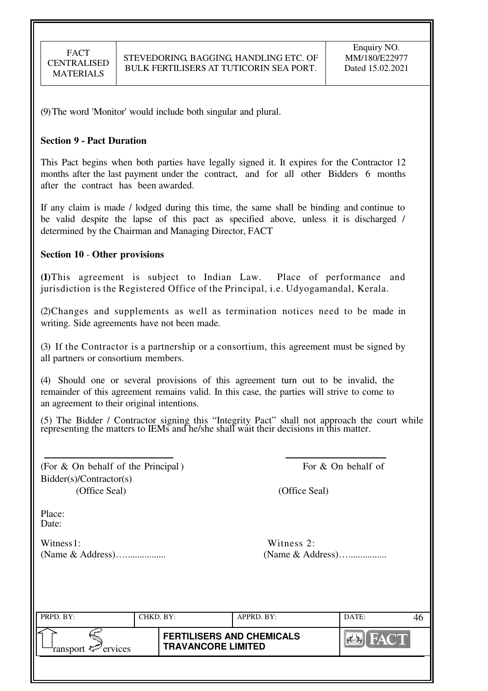(9) The word 'Monitor' would include both singular and plural.

#### **Section 9 - Pact Duration**

This Pact begins when both parties have legally signed it. It expires for the Contractor 12 months after the last payment under the contract, and for all other Bidders 6 months after the contract has been awarded.

If any claim is made / lodged during this time, the same shall be binding and continue to be valid despite the lapse of this pact as specified above, unless it is discharged / determined by the Chairman and Managing Director, FACT

### **Section 10** - **Other provisions**

**(1)**This agreement is subject to Indian Law. Place of performance and jurisdiction is the Registered Office of the Principal, i.e. Udyogamandal, Kerala.

(2)Changes and supplements as well as termination notices need to be made in writing. Side agreements have not been made.

(3) If the Contractor is a partnership or a consortium, this agreement must be signed by all partners or consortium members.

(4) Should one or several provisions of this agreement turn out to be invalid, the remainder of this agreement remains valid. In this case, the parties will strive to come to an agreement to their original intentions.

(5) The Bidder / Contractor signing this "Integrity Pact" shall not approach the court while representing the matters to IEMs and he/she shall wait their decisions in this matter.

(For  $\&$  On behalf of the Principal) For  $\&$  On behalf of Bidder(s)/Contractor(s) (Office Seal) (Office Seal)

Place: Date:

Witness 1: Witness 2: (Name & Address)…................. (Name & Address)…................

| PRPD. BY:                     | CHKD. BY: |                                                               | APPRD. BY: | DATE:       |  |
|-------------------------------|-----------|---------------------------------------------------------------|------------|-------------|--|
| ransport <sup>2</sup> ervices |           | <b>FERTILISERS AND CHEMICALS</b><br><b>TRAVANCORE LIMITED</b> |            | <b>FACT</b> |  |
|                               |           |                                                               |            |             |  |